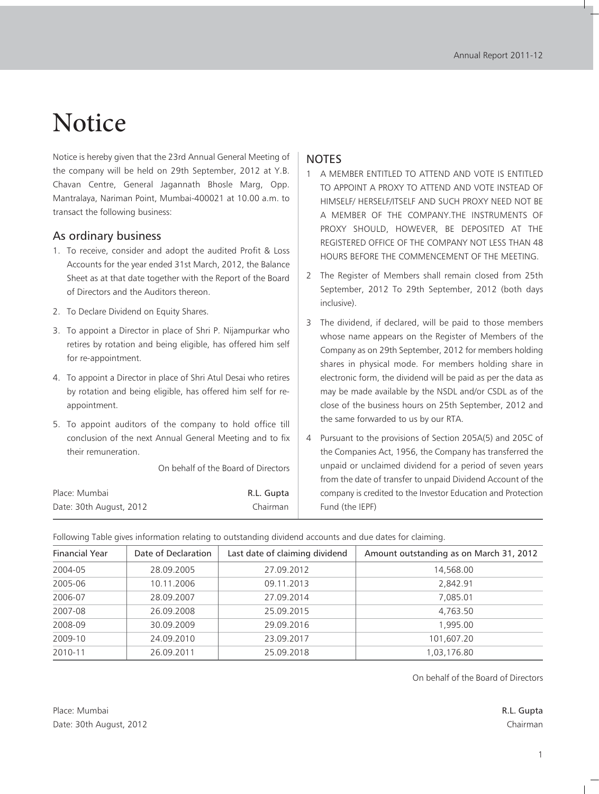# **Notice**

Notice is hereby given that the 23rd Annual General Meeting of the company will be held on 29th September, 2012 at Y.B. Chavan Centre, General Jagannath Bhosle Marg, Opp. Mantralaya, Nariman Point, Mumbai-400021 at 10.00 a.m. to transact the following business:

#### As ordinary business

- 1. To receive, consider and adopt the audited Profit & Loss Accounts for the year ended 31st March, 2012, the Balance Sheet as at that date together with the Report of the Board of Directors and the Auditors thereon.
- 2. To Declare Dividend on Equity Shares.
- 3. To appoint a Director in place of Shri P. Nijampurkar who retires by rotation and being eligible, has offered him self for re-appointment.
- 4. To appoint a Director in place of Shri Atul Desai who retires by rotation and being eligible, has offered him self for reappointment.
- 5. To appoint auditors of the company to hold office till conclusion of the next Annual General Meeting and to fix their remuneration.

On behalf of the Board of Directors

| Place: Mumbai           | R.L. Gupta |
|-------------------------|------------|
| Date: 30th August, 2012 | Chairman   |

#### **NOTES**

- 1 A MEMBER ENTITLED TO ATTEND AND VOTE IS ENTITLED TO APPOINT A PROXY TO ATTEND AND VOTE INSTEAD OF HIMSELF/ HERSELF/ITSELF AND SUCH PROXY NEED NOT BE A MEMBER OF THE COMPANY.THE INSTRUMENTS OF PROXY SHOULD, HOWEVER, BE DEPOSITED AT THE REGISTERED OFFICE OF THE COMPANY NOT LESS THAN 48 HOURS BEFORE THE COMMENCEMENT OF THE MEETING.
- 2 The Register of Members shall remain closed from 25th September, 2012 To 29th September, 2012 (both days inclusive).
- 3 The dividend, if declared, will be paid to those members whose name appears on the Register of Members of the Company as on 29th September, 2012 for members holding shares in physical mode. For members holding share in electronic form, the dividend will be paid as per the data as may be made available by the NSDL and/or CSDL as of the close of the business hours on 25th September, 2012 and the same forwarded to us by our RTA.
- 4 Pursuant to the provisions of Section 205A(5) and 205C of the Companies Act, 1956, the Company has transferred the unpaid or unclaimed dividend for a period of seven years from the date of transfer to unpaid Dividend Account of the company is credited to the Investor Education and Protection Fund (the IEPF)

Following Table gives information relating to outstanding dividend accounts and due dates for claiming.

| <b>Financial Year</b> | Date of Declaration | Last date of claiming dividend | Amount outstanding as on March 31, 2012 |
|-----------------------|---------------------|--------------------------------|-----------------------------------------|
| 2004-05               | 28.09.2005          | 27.09.2012                     | 14,568.00                               |
| 2005-06               | 10.11.2006          | 09.11.2013                     | 2,842.91                                |
| 2006-07               | 28.09.2007          | 27.09.2014                     | 7,085.01                                |
| 2007-08               | 26.09.2008          | 25.09.2015                     | 4,763.50                                |
| 2008-09               | 30.09.2009          | 29.09.2016                     | 1.995.00                                |
| 2009-10               | 24.09.2010          | 23.09.2017                     | 101,607.20                              |
| 2010-11               | 26.09.2011          | 25.09.2018                     | 1,03,176.80                             |

On behalf of the Board of Directors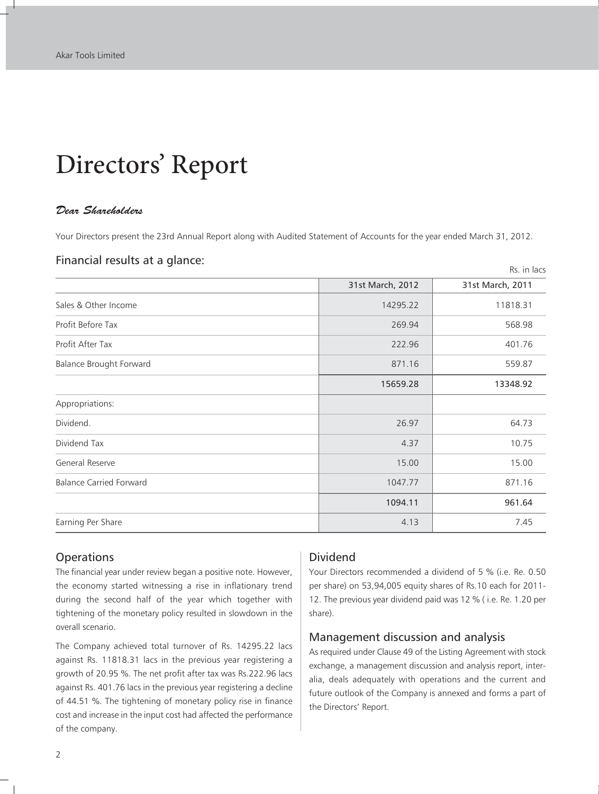# Directors' Report

#### *Dear Shareholders*

Your Directors present the 23rd Annual Report along with Audited Statement of Accounts for the year ended March 31, 2012.

#### Financial results at a glance:

|                                |                  | Rs. in lacs      |
|--------------------------------|------------------|------------------|
|                                | 31st March, 2012 | 31st March, 2011 |
| Sales & Other Income           | 14295.22         | 11818.31         |
| Profit Before Tax              | 269.94           | 568.98           |
| Profit After Tax               | 222.96           | 401.76           |
| <b>Balance Brought Forward</b> | 871.16           | 559.87           |
|                                | 15659.28         | 13348.92         |
| Appropriations:                |                  |                  |
| Dividend.                      | 26.97            | 64.73            |
| Dividend Tax                   | 4.37             | 10.75            |
| General Reserve                | 15.00            | 15.00            |
| <b>Balance Carried Forward</b> | 1047.77          | 871.16           |
|                                | 1094.11          | 961.64           |
| Earning Per Share              | 4.13             | 7.45             |

#### **Operations**

The financial year under review began a positive note. However, the economy started witnessing a rise in inflationary trend during the second half of the year which together with tightening of the monetary policy resulted in slowdown in the overall scenario.

The Company achieved total turnover of Rs. 14295.22 lacs against Rs. 11818.31 lacs in the previous year registering a growth of 20.95 %. The net profit after tax was Rs.222.96 lacs against Rs. 401.76 lacs in the previous year registering a decline of 44.51 %. The tightening of monetary policy rise in finance cost and increase in the input cost had affected the performance of the company.

### Dividend

Your Directors recommended a dividend of 5 % (i.e. Re. 0.50 per share) on 53,94,005 equity shares of Rs.10 each for 2011- 12. The previous year dividend paid was 12 % ( i.e. Re. 1.20 per share).

#### Management discussion and analysis

As required under Clause 49 of the Listing Agreement with stock exchange, a management discussion and analysis report, interalia, deals adequately with operations and the current and future outlook of the Company is annexed and forms a part of the Directors' Report.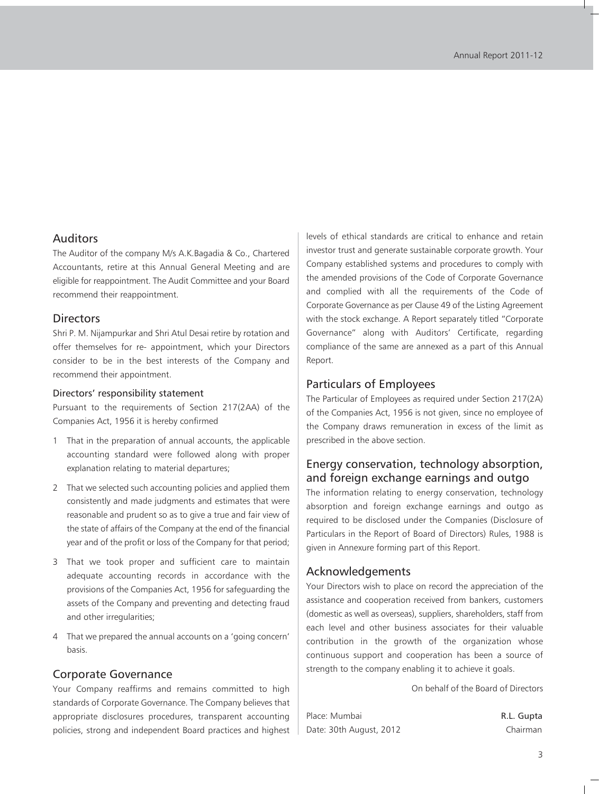#### Auditors

The Auditor of the company M/s A.K.Bagadia & Co., Chartered Accountants, retire at this Annual General Meeting and are eligible for reappointment. The Audit Committee and your Board recommend their reappointment.

#### **Directors**

Shri P. M. Nijampurkar and Shri Atul Desai retire by rotation and offer themselves for re- appointment, which your Directors consider to be in the best interests of the Company and recommend their appointment.

#### Directors' responsibility statement

Pursuant to the requirements of Section 217(2AA) of the Companies Act, 1956 it is hereby confirmed

- 1 That in the preparation of annual accounts, the applicable accounting standard were followed along with proper explanation relating to material departures;
- 2 That we selected such accounting policies and applied them consistently and made judgments and estimates that were reasonable and prudent so as to give a true and fair view of the state of affairs of the Company at the end of the financial year and of the profit or loss of the Company for that period;
- 3 That we took proper and sufficient care to maintain adequate accounting records in accordance with the provisions of the Companies Act, 1956 for safeguarding the assets of the Company and preventing and detecting fraud and other irregularities;
- 4 That we prepared the annual accounts on a 'going concern' basis.

#### Corporate Governance

Your Company reaffirms and remains committed to high standards of Corporate Governance. The Company believes that appropriate disclosures procedures, transparent accounting policies, strong and independent Board practices and highest levels of ethical standards are critical to enhance and retain investor trust and generate sustainable corporate growth. Your Company established systems and procedures to comply with the amended provisions of the Code of Corporate Governance and complied with all the requirements of the Code of Corporate Governance as per Clause 49 of the Listing Agreement with the stock exchange. A Report separately titled "Corporate Governance" along with Auditors' Certificate, regarding compliance of the same are annexed as a part of this Annual Report.

#### Particulars of Employees

The Particular of Employees as required under Section 217(2A) of the Companies Act, 1956 is not given, since no employee of the Company draws remuneration in excess of the limit as prescribed in the above section.

### Energy conservation, technology absorption, and foreign exchange earnings and outgo

The information relating to energy conservation, technology absorption and foreign exchange earnings and outgo as required to be disclosed under the Companies (Disclosure of Particulars in the Report of Board of Directors) Rules, 1988 is given in Annexure forming part of this Report.

#### Acknowledgements

Your Directors wish to place on record the appreciation of the assistance and cooperation received from bankers, customers (domestic as well as overseas), suppliers, shareholders, staff from each level and other business associates for their valuable contribution in the growth of the organization whose continuous support and cooperation has been a source of strength to the company enabling it to achieve it goals.

On behalf of the Board of Directors

| Place: Mumbai           | R.L. Gupta |
|-------------------------|------------|
| Date: 30th August, 2012 | Chairman   |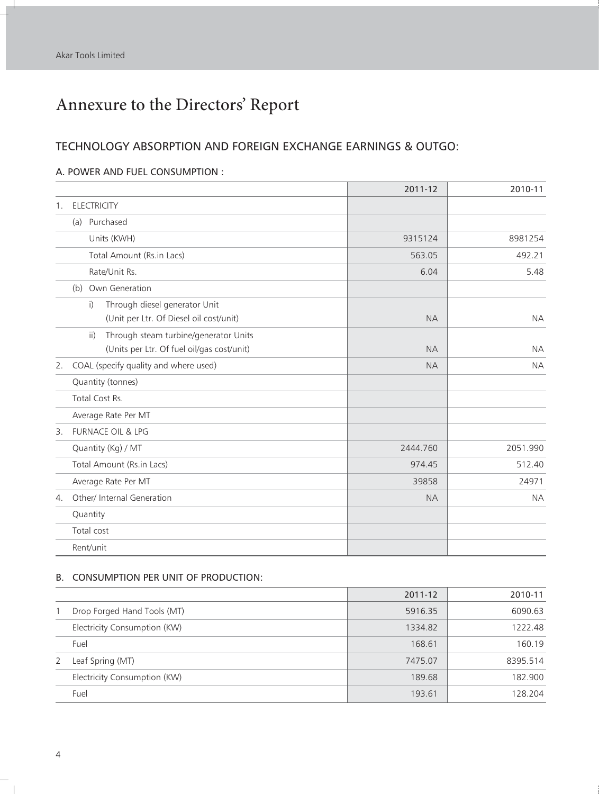f.

## Annexure to the Directors' Report

### TECHNOLOGY ABSORPTION AND FOREIGN EXCHANGE EARNINGS & OUTGO:

#### A. POWER AND FUEL CONSUMPTION :

|                       |                                                          | 2011-12   | 2010-11   |
|-----------------------|----------------------------------------------------------|-----------|-----------|
| 1.                    | <b>ELECTRICITY</b>                                       |           |           |
|                       | (a) Purchased                                            |           |           |
|                       | Units (KWH)                                              | 9315124   | 8981254   |
|                       | Total Amount (Rs.in Lacs)                                | 563.05    | 492.21    |
|                       | Rate/Unit Rs.                                            | 6.04      | 5.48      |
|                       | (b) Own Generation                                       |           |           |
|                       | i)<br>Through diesel generator Unit                      |           |           |
|                       | (Unit per Ltr. Of Diesel oil cost/unit)                  | <b>NA</b> | <b>NA</b> |
|                       | $\overline{ii}$<br>Through steam turbine/generator Units |           |           |
|                       | (Units per Ltr. Of fuel oil/gas cost/unit)               | <b>NA</b> | <b>NA</b> |
| 2.                    | COAL (specify quality and where used)                    | <b>NA</b> | <b>NA</b> |
|                       | Quantity (tonnes)                                        |           |           |
|                       | Total Cost Rs.                                           |           |           |
|                       | Average Rate Per MT                                      |           |           |
| $\mathbf{3}$ .        | <b>FURNACE OIL &amp; LPG</b>                             |           |           |
|                       | Quantity (Kg) / MT                                       | 2444.760  | 2051.990  |
|                       | Total Amount (Rs.in Lacs)                                | 974.45    | 512.40    |
|                       | Average Rate Per MT                                      | 39858     | 24971     |
| $\mathcal{A}_{\cdot}$ | Other/ Internal Generation                               | <b>NA</b> | <b>NA</b> |
|                       | Quantity                                                 |           |           |
|                       | Total cost                                               |           |           |
|                       | Rent/unit                                                |           |           |

#### B. CONSUMPTION PER UNIT OF PRODUCTION:

|   |                              | 2011-12 | 2010-11  |
|---|------------------------------|---------|----------|
|   | Drop Forged Hand Tools (MT)  | 5916.35 | 6090.63  |
|   | Electricity Consumption (KW) | 1334.82 | 1222.48  |
|   | Fuel                         | 168.61  | 160.19   |
| 2 | Leaf Spring (MT)             | 7475.07 | 8395.514 |
|   | Electricity Consumption (KW) | 189.68  | 182.900  |
|   | Fuel                         | 193.61  | 128.204  |

 $^{-}$   $_{\perp}$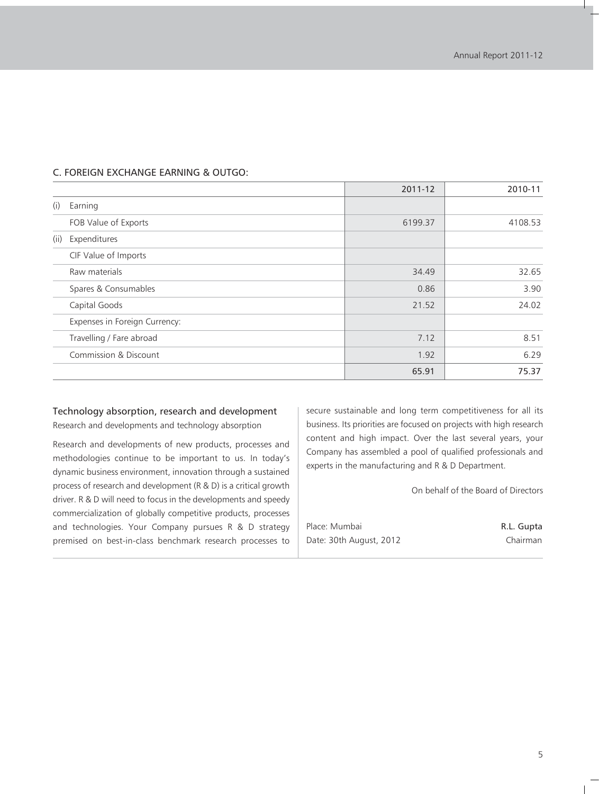|      |                               | 2011-12 | 2010-11 |
|------|-------------------------------|---------|---------|
| (i)  | Earning                       |         |         |
|      | FOB Value of Exports          | 6199.37 | 4108.53 |
| (ii) | Expenditures                  |         |         |
|      | CIF Value of Imports          |         |         |
|      | Raw materials                 | 34.49   | 32.65   |
|      | Spares & Consumables          | 0.86    | 3.90    |
|      | Capital Goods                 | 21.52   | 24.02   |
|      | Expenses in Foreign Currency: |         |         |
|      | Travelling / Fare abroad      | 7.12    | 8.51    |
|      | Commission & Discount         | 1.92    | 6.29    |
|      |                               | 65.91   | 75.37   |

#### C. FOREIGN EXCHANGE EARNING & OUTGO:

#### Technology absorption, research and development

Research and developments and technology absorption

Research and developments of new products, processes and methodologies continue to be important to us. In today's dynamic business environment, innovation through a sustained process of research and development (R & D) is a critical growth driver. R & D will need to focus in the developments and speedy commercialization of globally competitive products, processes and technologies. Your Company pursues R & D strategy premised on best-in-class benchmark research processes to secure sustainable and long term competitiveness for all its business. Its priorities are focused on projects with high research content and high impact. Over the last several years, your Company has assembled a pool of qualified professionals and experts in the manufacturing and R & D Department.

On behalf of the Board of Directors

| Place: Mumbai           | R.L. Gupta |
|-------------------------|------------|
| Date: 30th August, 2012 | Chairman   |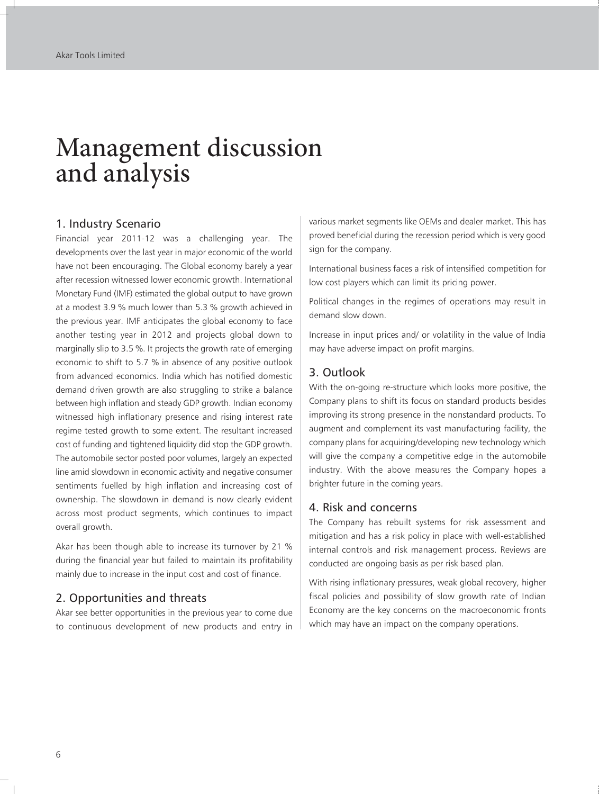# Management discussion and analysis

#### 1. Industry Scenario

Financial year 2011-12 was a challenging year. The developments over the last year in major economic of the world have not been encouraging. The Global economy barely a year after recession witnessed lower economic growth. International Monetary Fund (IMF) estimated the global output to have grown at a modest 3.9 % much lower than 5.3 % growth achieved in the previous year. IMF anticipates the global economy to face another testing year in 2012 and projects global down to marginally slip to 3.5 %. It projects the growth rate of emerging economic to shift to 5.7 % in absence of any positive outlook from advanced economics. India which has notified domestic demand driven growth are also struggling to strike a balance between high inflation and steady GDP growth. Indian economy witnessed high inflationary presence and rising interest rate regime tested growth to some extent. The resultant increased cost of funding and tightened liquidity did stop the GDP growth. The automobile sector posted poor volumes, largely an expected line amid slowdown in economic activity and negative consumer sentiments fuelled by high inflation and increasing cost of ownership. The slowdown in demand is now clearly evident across most product segments, which continues to impact overall growth.

Akar has been though able to increase its turnover by 21 % during the financial year but failed to maintain its profitability mainly due to increase in the input cost and cost of finance.

#### 2. Opportunities and threats

Akar see better opportunities in the previous year to come due to continuous development of new products and entry in

various market segments like OEMs and dealer market. This has proved beneficial during the recession period which is very good sign for the company.

International business faces a risk of intensified competition for low cost players which can limit its pricing power.

Political changes in the regimes of operations may result in demand slow down.

Increase in input prices and/ or volatility in the value of India may have adverse impact on profit margins.

#### 3. Outlook

With the on-going re-structure which looks more positive, the Company plans to shift its focus on standard products besides improving its strong presence in the nonstandard products. To augment and complement its vast manufacturing facility, the company plans for acquiring/developing new technology which will give the company a competitive edge in the automobile industry. With the above measures the Company hopes a brighter future in the coming years.

#### 4. Risk and concerns

The Company has rebuilt systems for risk assessment and mitigation and has a risk policy in place with well-established internal controls and risk management process. Reviews are conducted are ongoing basis as per risk based plan.

With rising inflationary pressures, weak global recovery, higher fiscal policies and possibility of slow growth rate of Indian Economy are the key concerns on the macroeconomic fronts which may have an impact on the company operations.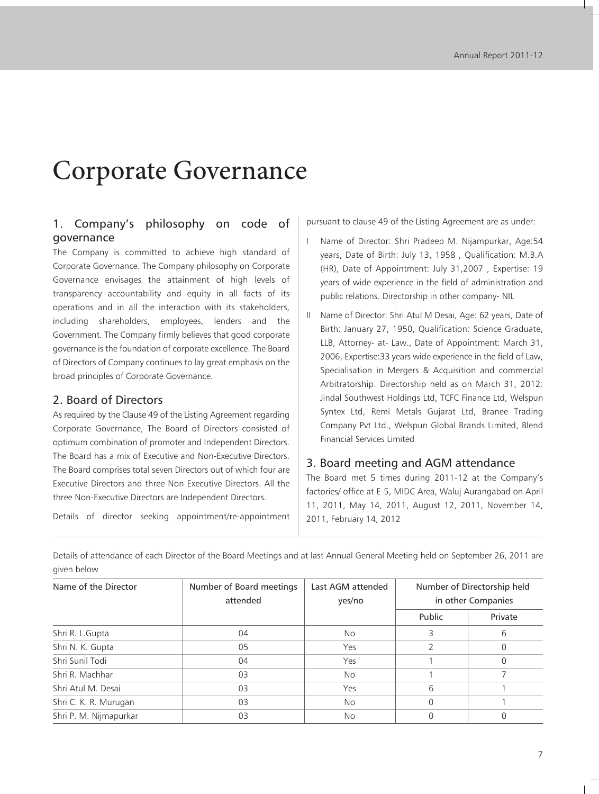# Corporate Governance

### 1. Company's philosophy on code of governance

The Company is committed to achieve high standard of Corporate Governance. The Company philosophy on Corporate Governance envisages the attainment of high levels of transparency accountability and equity in all facts of its operations and in all the interaction with its stakeholders, including shareholders, employees, lenders and the Government. The Company firmly believes that good corporate governance is the foundation of corporate excellence. The Board of Directors of Company continues to lay great emphasis on the broad principles of Corporate Governance.

#### 2. Board of Directors

As required by the Clause 49 of the Listing Agreement regarding Corporate Governance, The Board of Directors consisted of optimum combination of promoter and Independent Directors. The Board has a mix of Executive and Non-Executive Directors. The Board comprises total seven Directors out of which four are Executive Directors and three Non Executive Directors. All the three Non-Executive Directors are Independent Directors.

Details of director seeking appointment/re-appointment

pursuant to clause 49 of the Listing Agreement are as under:

- Name of Director: Shri Pradeep M. Nijampurkar, Age:54 years, Date of Birth: July 13, 1958 , Qualification: M.B.A (HR), Date of Appointment: July 31,2007 , Expertise: 19 years of wide experience in the field of administration and public relations. Directorship in other company- NIL
- II Name of Director: Shri Atul M Desai, Age: 62 years, Date of Birth: January 27, 1950, Qualification: Science Graduate, LLB, Attorney- at- Law., Date of Appointment: March 31, 2006, Expertise:33 years wide experience in the field of Law, Specialisation in Mergers & Acquisition and commercial Arbitratorship. Directorship held as on March 31, 2012: Jindal Southwest Holdings Ltd, TCFC Finance Ltd, Welspun Syntex Ltd, Remi Metals Gujarat Ltd, Branee Trading Company Pvt Ltd., Welspun Global Brands Limited, Blend Financial Services Limited

#### 3. Board meeting and AGM attendance

The Board met 5 times during 2011-12 at the Company's factories/ office at E-5, MIDC Area, Waluj Aurangabad on April 11, 2011, May 14, 2011, August 12, 2011, November 14, 2011, February 14, 2012

Details of attendance of each Director of the Board Meetings and at last Annual General Meeting held on September 26, 2011 are given below

| Name of the Director   | Number of Board meetings<br>attended | Last AGM attended<br>yes/no | Number of Directorship held<br>in other Companies |          |
|------------------------|--------------------------------------|-----------------------------|---------------------------------------------------|----------|
|                        |                                      |                             | Public                                            | Private  |
| Shri R. L.Gupta        | 04                                   | No.                         |                                                   | 6        |
| Shri N. K. Gupta       | 05                                   | Yes                         |                                                   | $\Omega$ |
| Shri Sunil Todi        | 04                                   | Yes                         |                                                   | $\Omega$ |
| Shri R. Machhar        | 03                                   | No.                         |                                                   |          |
| Shri Atul M. Desai     | 03                                   | Yes                         | 6                                                 |          |
| Shri C. K. R. Murugan  | 03                                   | No.                         | 0                                                 |          |
| Shri P. M. Nijmapurkar | 03                                   | <b>No</b>                   | 0                                                 |          |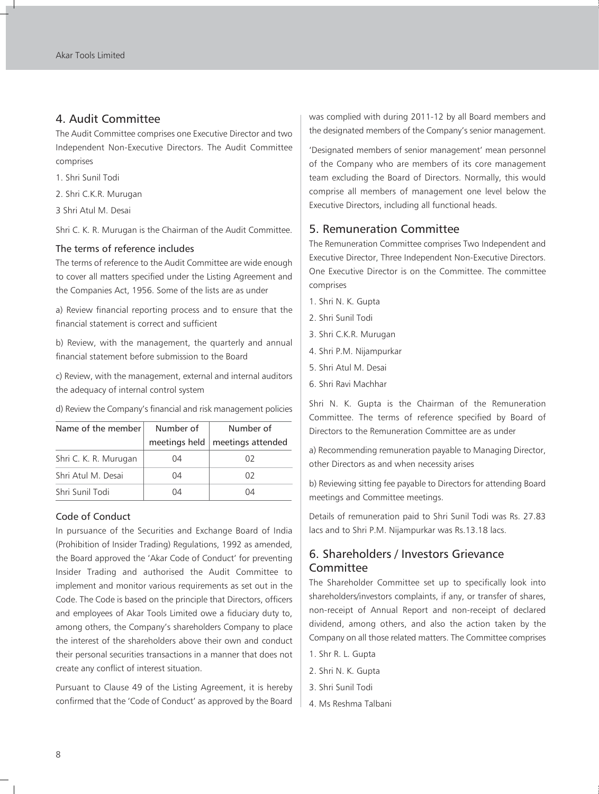#### 4. Audit Committee

The Audit Committee comprises one Executive Director and two Independent Non-Executive Directors. The Audit Committee comprises

- 1. Shri Sunil Todi
- 2. Shri C.K.R. Murugan
- 3 Shri Atul M. Desai

Shri C. K. R. Murugan is the Chairman of the Audit Committee.

#### The terms of reference includes

The terms of reference to the Audit Committee are wide enough to cover all matters specified under the Listing Agreement and the Companies Act, 1956. Some of the lists are as under

a) Review financial reporting process and to ensure that the financial statement is correct and sufficient

b) Review, with the management, the quarterly and annual financial statement before submission to the Board

c) Review, with the management, external and internal auditors the adequacy of internal control system

Name of the member  $\vert$  Number of  $\vert$  Number of meetings held  $\vert$  meetings attended Shri C. K. R. Murugan | 04 02 Shri Atul M. Desai | 04 02 Shri Sunil Todi 04 04 04

d) Review the Company's financial and risk management policies

#### Code of Conduct

In pursuance of the Securities and Exchange Board of India (Prohibition of Insider Trading) Regulations, 1992 as amended, the Board approved the 'Akar Code of Conduct' for preventing Insider Trading and authorised the Audit Committee to implement and monitor various requirements as set out in the Code. The Code is based on the principle that Directors, officers and employees of Akar Tools Limited owe a fiduciary duty to, among others, the Company's shareholders Company to place the interest of the shareholders above their own and conduct their personal securities transactions in a manner that does not create any conflict of interest situation.

Pursuant to Clause 49 of the Listing Agreement, it is hereby confirmed that the 'Code of Conduct' as approved by the Board was complied with during 2011-12 by all Board members and the designated members of the Company's senior management.

'Designated members of senior management' mean personnel of the Company who are members of its core management team excluding the Board of Directors. Normally, this would comprise all members of management one level below the Executive Directors, including all functional heads.

#### 5. Remuneration Committee

The Remuneration Committee comprises Two Independent and Executive Director, Three Independent Non-Executive Directors. One Executive Director is on the Committee. The committee comprises

- 1. Shri N. K. Gupta
- 2. Shri Sunil Todi
- 3. Shri C.K.R. Murugan
- 4. Shri P.M. Nijampurkar
- 5. Shri Atul M. Desai
- 6. Shri Ravi Machhar

Shri N. K. Gupta is the Chairman of the Remuneration Committee. The terms of reference specified by Board of Directors to the Remuneration Committee are as under

a) Recommending remuneration payable to Managing Director, other Directors as and when necessity arises

b) Reviewing sitting fee payable to Directors for attending Board meetings and Committee meetings.

Details of remuneration paid to Shri Sunil Todi was Rs. 27.83 lacs and to Shri P.M. Nijampurkar was Rs.13.18 lacs.

## 6. Shareholders / Investors Grievance Committee

The Shareholder Committee set up to specifically look into shareholders/investors complaints, if any, or transfer of shares, non-receipt of Annual Report and non-receipt of declared dividend, among others, and also the action taken by the Company on all those related matters. The Committee comprises

- 1. Shr R. L. Gupta
- 2. Shri N. K. Gupta
- 3. Shri Sunil Todi
- 4. Ms Reshma Talbani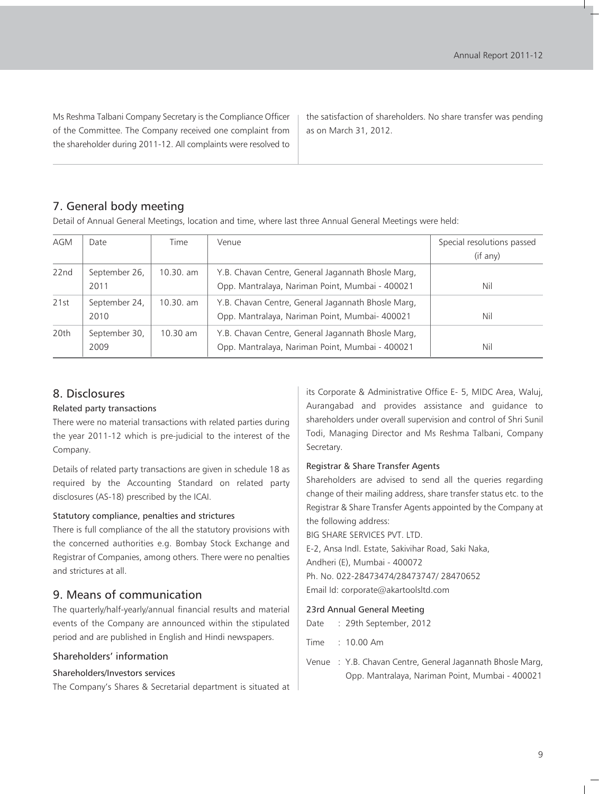Ms Reshma Talbani Company Secretary is the Compliance Officer of the Committee. The Company received one complaint from the shareholder during 2011-12. All complaints were resolved to

the satisfaction of shareholders. No share transfer was pending as on March 31, 2012.

## 7. General body meeting

Detail of Annual General Meetings, location and time, where last three Annual General Meetings were held:

| <b>AGM</b> | Date                  | Time       | Venue                                                                                                 | Special resolutions passed |
|------------|-----------------------|------------|-------------------------------------------------------------------------------------------------------|----------------------------|
|            |                       |            |                                                                                                       | (if any)                   |
| 22nd       | September 26,<br>2011 | 10.30. am  | Y.B. Chavan Centre, General Jagannath Bhosle Marq,<br>Opp. Mantralaya, Nariman Point, Mumbai - 400021 | Nil                        |
| 21st       | September 24,<br>2010 | 10.30. am  | Y.B. Chavan Centre, General Jagannath Bhosle Marq,<br>Opp. Mantralaya, Nariman Point, Mumbai- 400021  | Nil                        |
| 20th       | September 30,<br>2009 | $10.30$ am | Y.B. Chavan Centre, General Jagannath Bhosle Marg,<br>Opp. Mantralaya, Nariman Point, Mumbai - 400021 | Nil                        |

### 8. Disclosures

#### Related party transactions

There were no material transactions with related parties during the year 2011-12 which is pre-judicial to the interest of the Company.

Details of related party transactions are given in schedule 18 as required by the Accounting Standard on related party disclosures (AS-18) prescribed by the ICAI.

#### Statutory compliance, penalties and strictures

There is full compliance of the all the statutory provisions with the concerned authorities e.g. Bombay Stock Exchange and Registrar of Companies, among others. There were no penalties and strictures at all.

### 9. Means of communication

The quarterly/half-yearly/annual financial results and material events of the Company are announced within the stipulated period and are published in English and Hindi newspapers.

#### Shareholders' information

#### Shareholders/Investors services

The Company's Shares & Secretarial department is situated at

its Corporate & Administrative Office E- 5, MIDC Area, Waluj, Aurangabad and provides assistance and guidance to shareholders under overall supervision and control of Shri Sunil Todi, Managing Director and Ms Reshma Talbani, Company Secretary.

#### Registrar & Share Transfer Agents

Shareholders are advised to send all the queries regarding change of their mailing address, share transfer status etc. to the Registrar & Share Transfer Agents appointed by the Company at the following address:

BIG SHARE SERVICES PVT. LTD.

E-2, Ansa Indl. Estate, Sakivihar Road, Saki Naka,

Andheri (E), Mumbai - 400072

Ph. No. 022-28473474/28473747/ 28470652 Email Id: corporate@akartoolsltd.com

## 23rd Annual General Meeting

- Date : 29th September, 2012
- Time : 10.00 Am
- Venue : Y.B. Chavan Centre, General Jagannath Bhosle Marg, Opp. Mantralaya, Nariman Point, Mumbai - 400021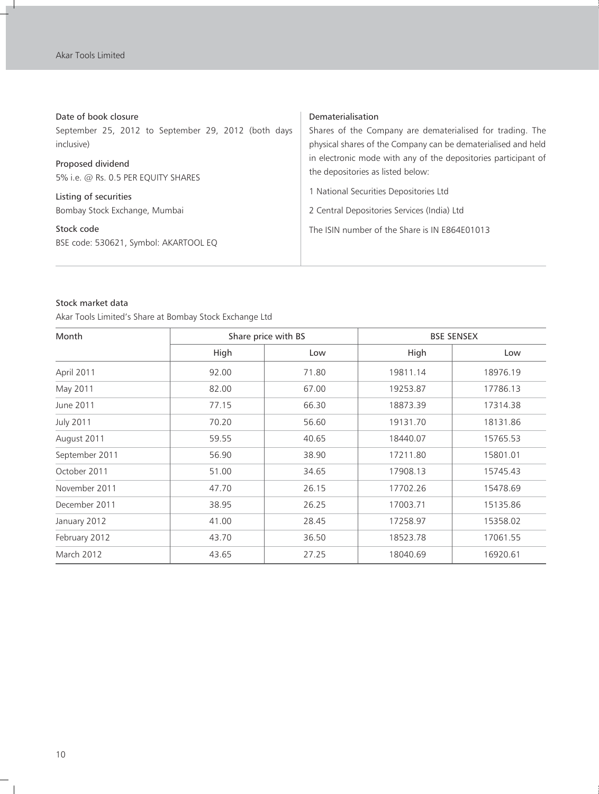r i

| Date of book closure                                     | Dematerialisation                                                                                   |  |
|----------------------------------------------------------|-----------------------------------------------------------------------------------------------------|--|
| September 25, 2012 to September 29, 2012 (both days      | Shares of the Company are dematerialised for trading. The                                           |  |
| inclusive)                                               | physical shares of the Company can be dematerialised and held                                       |  |
| Proposed dividend<br>5% i.e. @ Rs. 0.5 PER EQUITY SHARES | in electronic mode with any of the depositories participant of<br>the depositories as listed below: |  |
| Listing of securities                                    | 1 National Securities Depositories Ltd                                                              |  |
| Bombay Stock Exchange, Mumbai                            | 2 Central Depositories Services (India) Ltd                                                         |  |
| Stock code<br>BSE code: 530621, Symbol: AKARTOOL EQ      | The ISIN number of the Share is IN E864E01013                                                       |  |

#### Stock market data

Akar Tools Limited's Share at Bombay Stock Exchange Ltd

| Month             | Share price with BS |       | <b>BSE SENSEX</b> |          |
|-------------------|---------------------|-------|-------------------|----------|
|                   | High                | Low   | High              | Low      |
| April 2011        | 92.00               | 71.80 | 19811.14          | 18976.19 |
| May 2011          | 82.00               | 67.00 | 19253.87          | 17786.13 |
| June 2011         | 77.15               | 66.30 | 18873.39          | 17314.38 |
| <b>July 2011</b>  | 70.20               | 56.60 | 19131.70          | 18131.86 |
| August 2011       | 59.55               | 40.65 | 18440.07          | 15765.53 |
| September 2011    | 56.90               | 38.90 | 17211.80          | 15801.01 |
| October 2011      | 51.00               | 34.65 | 17908.13          | 15745.43 |
| November 2011     | 47.70               | 26.15 | 17702.26          | 15478.69 |
| December 2011     | 38.95               | 26.25 | 17003.71          | 15135.86 |
| January 2012      | 41.00               | 28.45 | 17258.97          | 15358.02 |
| February 2012     | 43.70               | 36.50 | 18523.78          | 17061.55 |
| <b>March 2012</b> | 43.65               | 27.25 | 18040.69          | 16920.61 |

 $\overline{\phantom{a}}_1$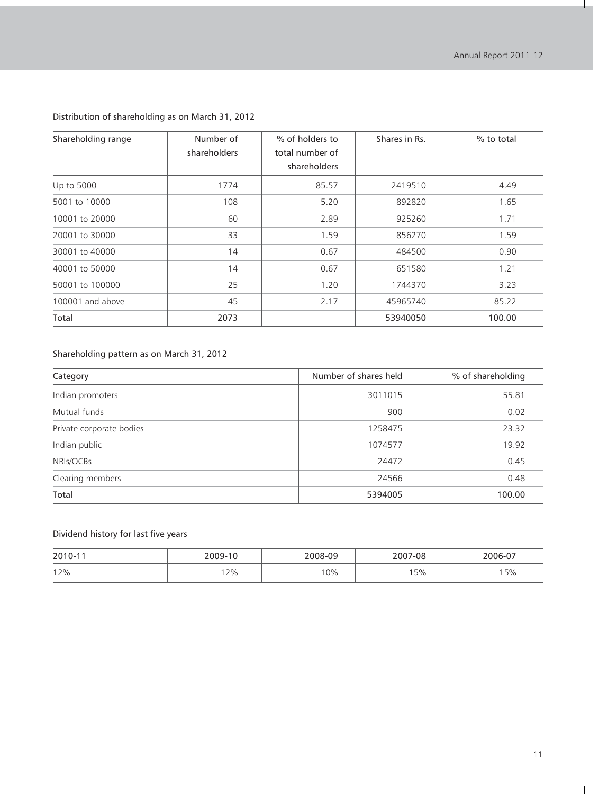H.

| Shareholding range | Number of<br>shareholders | % of holders to<br>total number of<br>shareholders | Shares in Rs. | % to total |
|--------------------|---------------------------|----------------------------------------------------|---------------|------------|
| Up to 5000         | 1774                      | 85.57                                              | 2419510       | 4.49       |
| 5001 to 10000      | 108                       | 5.20                                               | 892820        | 1.65       |
| 10001 to 20000     | 60                        | 2.89                                               | 925260        | 1.71       |
| 20001 to 30000     | 33                        | 1.59                                               | 856270        | 1.59       |
| 30001 to 40000     | 14                        | 0.67                                               | 484500        | 0.90       |
| 40001 to 50000     | 14                        | 0.67                                               | 651580        | 1.21       |
| 50001 to 100000    | 25                        | 1.20                                               | 1744370       | 3.23       |
| 100001 and above   | 45                        | 2.17                                               | 45965740      | 85.22      |
| Total              | 2073                      |                                                    | 53940050      | 100.00     |

### Distribution of shareholding as on March 31, 2012

## Shareholding pattern as on March 31, 2012

| Category                 | Number of shares held | % of shareholding |
|--------------------------|-----------------------|-------------------|
| Indian promoters         | 3011015               | 55.81             |
| Mutual funds             | 900                   | 0.02              |
| Private corporate bodies | 1258475               | 23.32             |
| Indian public            | 1074577               | 19.92             |
| NRIs/OCBs                | 24472                 | 0.45              |
| Clearing members         | 24566                 | 0.48              |
| Total                    | 5394005               | 100.00            |

## Dividend history for last five years

| 2010-11 | 2009-10 | 2008-09 | 2007-08 | 2006-07 |
|---------|---------|---------|---------|---------|
| 12%     | 2%      | 0%      | 5%      | ' 5%    |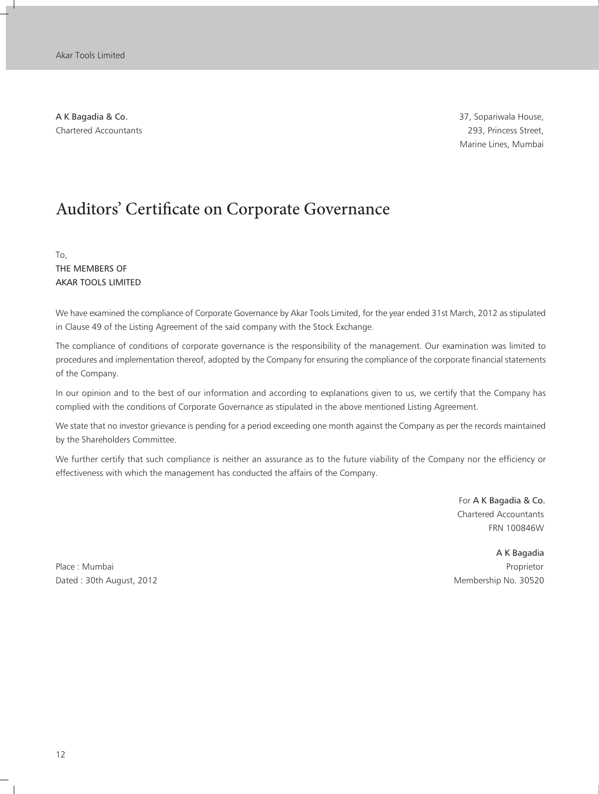A K Bagadia & Co. 37, Sopariwala House, Chartered Accountants 293, Princess Street,

Marine Lines, Mumbai

## Auditors' Certificate on Corporate Governance

To, THE MEMBERS OF AKAR TOOLS LIMITED

We have examined the compliance of Corporate Governance by Akar Tools Limited, for the year ended 31st March, 2012 as stipulated in Clause 49 of the Listing Agreement of the said company with the Stock Exchange.

The compliance of conditions of corporate governance is the responsibility of the management. Our examination was limited to procedures and implementation thereof, adopted by the Company for ensuring the compliance of the corporate financial statements of the Company.

In our opinion and to the best of our information and according to explanations given to us, we certify that the Company has complied with the conditions of Corporate Governance as stipulated in the above mentioned Listing Agreement.

We state that no investor grievance is pending for a period exceeding one month against the Company as per the records maintained by the Shareholders Committee.

We further certify that such compliance is neither an assurance as to the future viability of the Company nor the efficiency or effectiveness with which the management has conducted the affairs of the Company.

> For A K Bagadia & Co. Chartered Accountants FRN 100846W

Place : Mumbai Proprietor Dated : 30th August, 2012 Membership No. 30520

A K Bagadia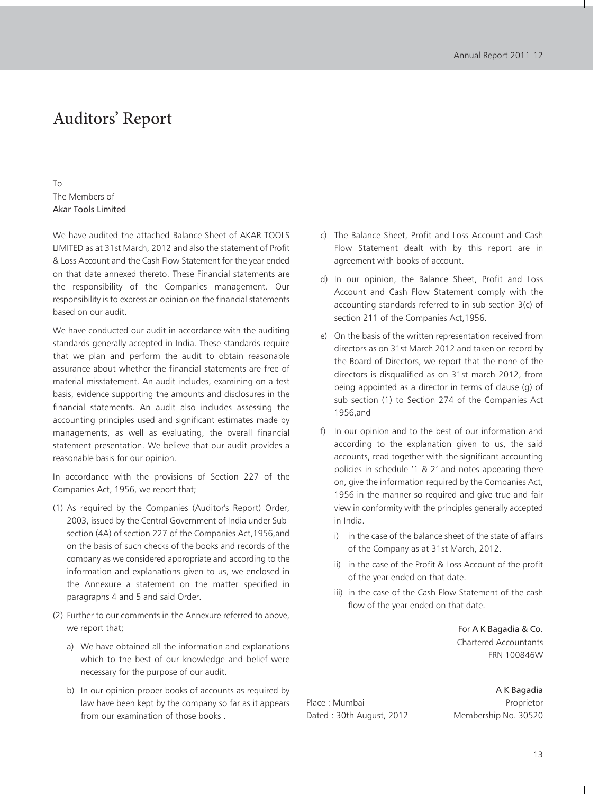## Auditors' Report

To The Members of Akar Tools Limited

We have audited the attached Balance Sheet of AKAR TOOLS LIMITED as at 31st March, 2012 and also the statement of Profit & Loss Account and the Cash Flow Statement for the year ended on that date annexed thereto. These Financial statements are the responsibility of the Companies management. Our responsibility is to express an opinion on the financial statements based on our audit.

We have conducted our audit in accordance with the auditing standards generally accepted in India. These standards require that we plan and perform the audit to obtain reasonable assurance about whether the financial statements are free of material misstatement. An audit includes, examining on a test basis, evidence supporting the amounts and disclosures in the financial statements. An audit also includes assessing the accounting principles used and significant estimates made by managements, as well as evaluating, the overall financial statement presentation. We believe that our audit provides a reasonable basis for our opinion.

In accordance with the provisions of Section 227 of the Companies Act, 1956, we report that;

- (1) As required by the Companies (Auditor's Report) Order, 2003, issued by the Central Government of India under Subsection (4A) of section 227 of the Companies Act,1956,and on the basis of such checks of the books and records of the company as we considered appropriate and according to the information and explanations given to us, we enclosed in the Annexure a statement on the matter specified in paragraphs 4 and 5 and said Order.
- (2) Further to our comments in the Annexure referred to above, we report that;
	- a) We have obtained all the information and explanations which to the best of our knowledge and belief were necessary for the purpose of our audit.
	- b) In our opinion proper books of accounts as required by law have been kept by the company so far as it appears from our examination of those books .
- c) The Balance Sheet, Profit and Loss Account and Cash Flow Statement dealt with by this report are in agreement with books of account.
- d) In our opinion, the Balance Sheet, Profit and Loss Account and Cash Flow Statement comply with the accounting standards referred to in sub-section 3(c) of section 211 of the Companies Act,1956.
- e) On the basis of the written representation received from directors as on 31st March 2012 and taken on record by the Board of Directors, we report that the none of the directors is disqualified as on 31st march 2012, from being appointed as a director in terms of clause (g) of sub section (1) to Section 274 of the Companies Act 1956,and
- f) In our opinion and to the best of our information and according to the explanation given to us, the said accounts, read together with the significant accounting policies in schedule '1 & 2' and notes appearing there on, give the information required by the Companies Act, 1956 in the manner so required and give true and fair view in conformity with the principles generally accepted in India.
	- i) in the case of the balance sheet of the state of affairs of the Company as at 31st March, 2012.
	- ii) in the case of the Profit & Loss Account of the profit of the year ended on that date.
	- iii) in the case of the Cash Flow Statement of the cash flow of the year ended on that date.

For A K Bagadia & Co. Chartered Accountants FRN 100846W

Place : Mumbai Proprietor Dated : 30th August, 2012 Membership No. 30520

A K Bagadia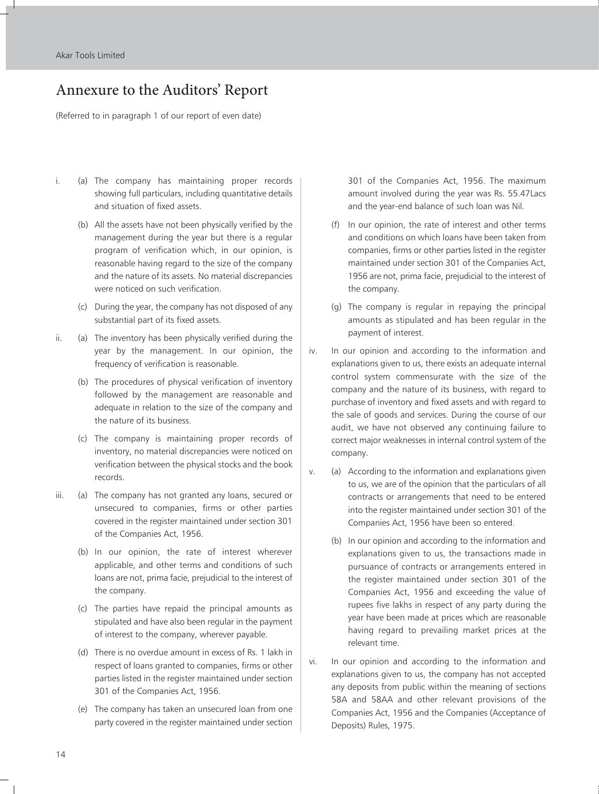## Annexure to the Auditors' Report

(Referred to in paragraph 1 of our report of even date)

- i. (a) The company has maintaining proper records showing full particulars, including quantitative details and situation of fixed assets.
	- (b) All the assets have not been physically verified by the management during the year but there is a regular program of verification which, in our opinion, is reasonable having regard to the size of the company and the nature of its assets. No material discrepancies were noticed on such verification.
	- (c) During the year, the company has not disposed of any substantial part of its fixed assets.
- ii. (a) The inventory has been physically verified during the year by the management. In our opinion, the frequency of verification is reasonable.
	- (b) The procedures of physical verification of inventory followed by the management are reasonable and adequate in relation to the size of the company and the nature of its business.
	- (c) The company is maintaining proper records of inventory, no material discrepancies were noticed on verification between the physical stocks and the book records.
- iii. (a) The company has not granted any loans, secured or unsecured to companies, firms or other parties covered in the register maintained under section 301 of the Companies Act, 1956.
	- (b) In our opinion, the rate of interest wherever applicable, and other terms and conditions of such loans are not, prima facie, prejudicial to the interest of the company.
	- (c) The parties have repaid the principal amounts as stipulated and have also been regular in the payment of interest to the company, wherever payable.
	- (d) There is no overdue amount in excess of Rs. 1 lakh in respect of loans granted to companies, firms or other parties listed in the register maintained under section 301 of the Companies Act, 1956.
	- (e) The company has taken an unsecured loan from one party covered in the register maintained under section

301 of the Companies Act, 1956. The maximum amount involved during the year was Rs. 55.47Lacs and the year-end balance of such loan was Nil.

- (f) In our opinion, the rate of interest and other terms and conditions on which loans have been taken from companies, firms or other parties listed in the register maintained under section 301 of the Companies Act, 1956 are not, prima facie, prejudicial to the interest of the company.
- (g) The company is regular in repaying the principal amounts as stipulated and has been regular in the payment of interest.
- iv. In our opinion and according to the information and explanations given to us, there exists an adequate internal control system commensurate with the size of the company and the nature of its business, with regard to purchase of inventory and fixed assets and with regard to the sale of goods and services. During the course of our audit, we have not observed any continuing failure to correct major weaknesses in internal control system of the company.
- v. (a) According to the information and explanations given to us, we are of the opinion that the particulars of all contracts or arrangements that need to be entered into the register maintained under section 301 of the Companies Act, 1956 have been so entered.
	- (b) In our opinion and according to the information and explanations given to us, the transactions made in pursuance of contracts or arrangements entered in the register maintained under section 301 of the Companies Act, 1956 and exceeding the value of rupees five lakhs in respect of any party during the year have been made at prices which are reasonable having regard to prevailing market prices at the relevant time.
- vi. In our opinion and according to the information and explanations given to us, the company has not accepted any deposits from public within the meaning of sections 58A and 58AA and other relevant provisions of the Companies Act, 1956 and the Companies (Acceptance of Deposits) Rules, 1975.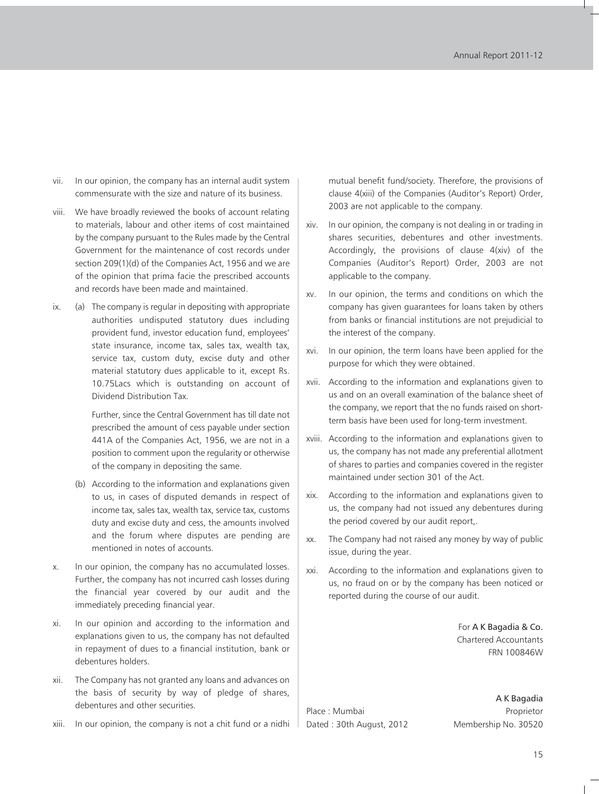- vii. In our opinion, the company has an internal audit system commensurate with the size and nature of its business.
- viii. We have broadly reviewed the books of account relating to materials, labour and other items of cost maintained by the company pursuant to the Rules made by the Central Government for the maintenance of cost records under section 209(1)(d) of the Companies Act, 1956 and we are of the opinion that prima facie the prescribed accounts and records have been made and maintained.
- ix. (a) The company is regular in depositing with appropriate authorities undisputed statutory dues including provident fund, investor education fund, employees' state insurance, income tax, sales tax, wealth tax, service tax, custom duty, excise duty and other material statutory dues applicable to it, except Rs. 10.75Lacs which is outstanding on account of Dividend Distribution Tax.

Further, since the Central Government has till date not prescribed the amount of cess payable under section 441A of the Companies Act, 1956, we are not in a position to comment upon the regularity or otherwise of the company in depositing the same.

- (b) According to the information and explanations given to us, in cases of disputed demands in respect of income tax, sales tax, wealth tax, service tax, customs duty and excise duty and cess, the amounts involved and the forum where disputes are pending are mentioned in notes of accounts.
- x. In our opinion, the company has no accumulated losses. Further, the company has not incurred cash losses during the financial year covered by our audit and the immediately preceding financial year.
- xi. In our opinion and according to the information and explanations given to us, the company has not defaulted in repayment of dues to a financial institution, bank or debentures holders.
- xii. The Company has not granted any loans and advances on the basis of security by way of pledge of shares, debentures and other securities.
- xiii. In our opinion, the company is not a chit fund or a nidhi

mutual benefit fund/society. Therefore, the provisions of clause 4(xiii) of the Companies (Auditor's Report) Order, 2003 are not applicable to the company.

- xiv. In our opinion, the company is not dealing in or trading in shares securities, debentures and other investments. Accordingly, the provisions of clause 4(xiv) of the Companies (Auditor's Report) Order, 2003 are not applicable to the company.
- xv. In our opinion, the terms and conditions on which the company has given guarantees for loans taken by others from banks or financial institutions are not prejudicial to the interest of the company.
- xvi. In our opinion, the term loans have been applied for the purpose for which they were obtained.
- xvii. According to the information and explanations given to us and on an overall examination of the balance sheet of the company, we report that the no funds raised on shortterm basis have been used for long-term investment.
- xviii. According to the information and explanations given to us, the company has not made any preferential allotment of shares to parties and companies covered in the register maintained under section 301 of the Act.
- xix. According to the information and explanations given to us, the company had not issued any debentures during the period covered by our audit report,.
- xx. The Company had not raised any money by way of public issue, during the year.
- xxi. According to the information and explanations given to us, no fraud on or by the company has been noticed or reported during the course of our audit.

For A K Bagadia & Co. Chartered Accountants FRN 100846W

Place : Mumbai Proprietor Dated : 30th August, 2012 Membership No. 30520

A K Bagadia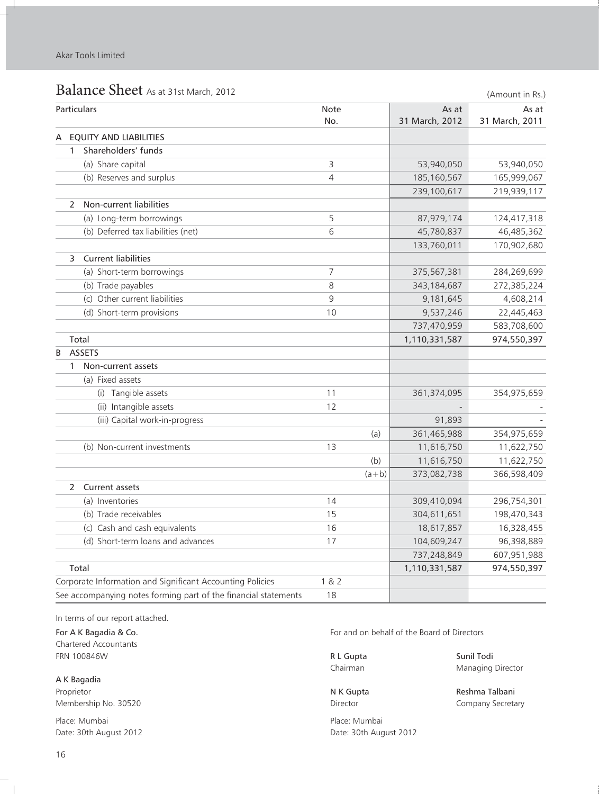n.

|   | Balance Sheet As at 31st March, 2012                            |       |         |                | (Amount in Rs.) |
|---|-----------------------------------------------------------------|-------|---------|----------------|-----------------|
|   | Particulars                                                     | Note  |         | As at          | As at           |
|   |                                                                 | No.   |         | 31 March, 2012 | 31 March, 2011  |
| A | <b>EQUITY AND LIABILITIES</b>                                   |       |         |                |                 |
|   | Shareholders' funds<br>1                                        |       |         |                |                 |
|   | (a) Share capital                                               | 3     |         | 53,940,050     | 53,940,050      |
|   | (b) Reserves and surplus                                        | 4     |         | 185, 160, 567  | 165,999,067     |
|   |                                                                 |       |         | 239,100,617    | 219,939,117     |
|   | Non-current liabilities<br>2                                    |       |         |                |                 |
|   | (a) Long-term borrowings                                        | 5     |         | 87,979,174     | 124,417,318     |
|   | (b) Deferred tax liabilities (net)                              | 6     |         | 45,780,837     | 46,485,362      |
|   |                                                                 |       |         | 133,760,011    | 170,902,680     |
|   | <b>Current liabilities</b><br>3                                 |       |         |                |                 |
|   | (a) Short-term borrowings                                       | 7     |         | 375,567,381    | 284,269,699     |
|   | (b) Trade payables                                              | 8     |         | 343, 184, 687  | 272,385,224     |
|   | (c) Other current liabilities                                   | 9     |         | 9,181,645      | 4,608,214       |
|   | (d) Short-term provisions                                       | 10    |         | 9,537,246      | 22,445,463      |
|   |                                                                 |       |         | 737,470,959    | 583,708,600     |
|   | Total                                                           |       |         | 1,110,331,587  | 974,550,397     |
| B | <b>ASSETS</b>                                                   |       |         |                |                 |
|   | Non-current assets<br>1                                         |       |         |                |                 |
|   | (a) Fixed assets                                                |       |         |                |                 |
|   | (i) Tangible assets                                             | 11    |         | 361,374,095    | 354,975,659     |
|   | (ii) Intangible assets                                          | 12    |         |                |                 |
|   | (iii) Capital work-in-progress                                  |       |         | 91,893         |                 |
|   |                                                                 |       | (a)     | 361,465,988    | 354,975,659     |
|   | (b) Non-current investments                                     | 13    |         | 11,616,750     | 11,622,750      |
|   |                                                                 |       | (b)     | 11,616,750     | 11,622,750      |
|   |                                                                 |       | $(a+b)$ | 373,082,738    | 366,598,409     |
|   | Current assets<br>2                                             |       |         |                |                 |
|   | (a) Inventories                                                 | 14    |         | 309,410,094    | 296,754,301     |
|   | (b) Trade receivables                                           | 15    |         | 304,611,651    | 198,470,343     |
|   | (c) Cash and cash equivalents                                   | 16    |         | 18,617,857     | 16,328,455      |
|   | (d) Short-term loans and advances                               | 17    |         | 104,609,247    | 96,398,889      |
|   |                                                                 |       |         | 737,248,849    | 607,951,988     |
|   | Total                                                           |       |         | 1,110,331,587  | 974,550,397     |
|   | Corporate Information and Significant Accounting Policies       | 1 & 2 |         |                |                 |
|   | See accompanying notes forming part of the financial statements | 18    |         |                |                 |

In terms of our report attached.

Chartered Accountants FRN 100846W **R L Gupta** Sunil Todi

A K Bagadia Proprietor **N K Gupta** Reshma Talbani

Place: Mumbai Place: Mumbai Date: 30th August 2012 **Date: 30th August 2012** 

For A K Bagadia & Co. **For and on behalf of the Board of Directors** For and on behalf of the Board of Directors

Chairman Managing Director

Membership No. 30520 **Director** Director **Company Secretary** 

 $^{-}$  1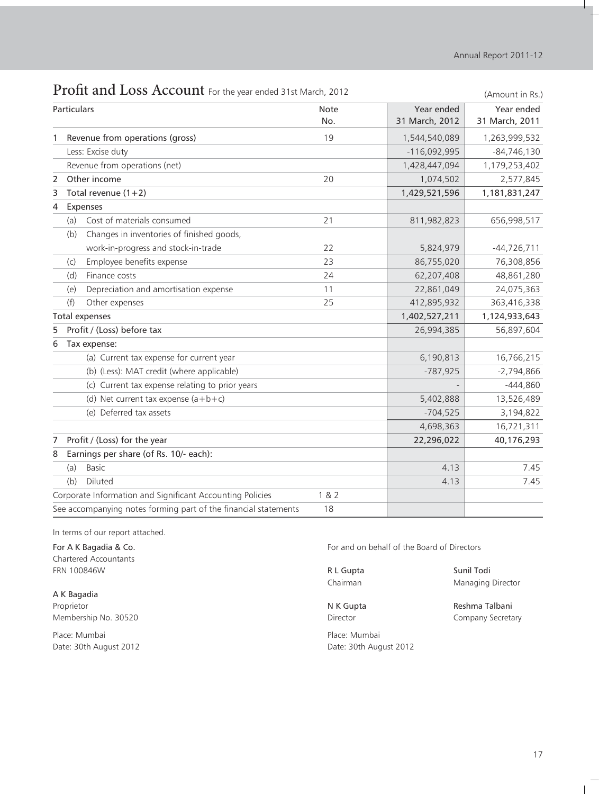|   |                       | <b>I TOITE ATTU LOSS ACCOUTTL</b> FOR the year ended 3 TSt March, 2012 |       |                | (Amount in Rs.) |
|---|-----------------------|------------------------------------------------------------------------|-------|----------------|-----------------|
|   | Particulars           |                                                                        | Note  | Year ended     | Year ended      |
|   |                       |                                                                        | No.   | 31 March, 2012 | 31 March, 2011  |
|   |                       | Revenue from operations (gross)                                        | 19    | 1,544,540,089  | 1,263,999,532   |
|   |                       | Less: Excise duty                                                      |       | $-116,092,995$ | $-84,746,130$   |
|   |                       | Revenue from operations (net)                                          |       | 1,428,447,094  | 1,179,253,402   |
| 2 |                       | Other income                                                           | 20    | 1,074,502      | 2,577,845       |
| 3 |                       | Total revenue $(1+2)$                                                  |       | 1,429,521,596  | 1,181,831,247   |
| 4 | Expenses              |                                                                        |       |                |                 |
|   | (a)                   | Cost of materials consumed                                             | 21    | 811,982,823    | 656,998,517     |
|   | (b)                   | Changes in inventories of finished goods,                              |       |                |                 |
|   |                       | work-in-progress and stock-in-trade                                    | 22    | 5,824,979      | $-44,726,711$   |
|   | (c)                   | Employee benefits expense                                              | 23    | 86,755,020     | 76,308,856      |
|   | (d)                   | Finance costs                                                          | 24    | 62,207,408     | 48,861,280      |
|   | (e)                   | Depreciation and amortisation expense                                  | 11    | 22,861,049     | 24,075,363      |
|   | (f)                   | Other expenses                                                         | 25    | 412,895,932    | 363,416,338     |
|   | <b>Total expenses</b> |                                                                        |       | 1,402,527,211  | 1,124,933,643   |
| 5 |                       | Profit / (Loss) before tax                                             |       | 26,994,385     | 56,897,604      |
| 6 |                       | Tax expense:                                                           |       |                |                 |
|   |                       | (a) Current tax expense for current year                               |       | 6,190,813      | 16,766,215      |
|   |                       | (b) (Less): MAT credit (where applicable)                              |       | $-787,925$     | $-2,794,866$    |
|   |                       | (c) Current tax expense relating to prior years                        |       |                | $-444,860$      |
|   |                       | (d) Net current tax expense $(a+b+c)$                                  |       | 5,402,888      | 13,526,489      |
|   |                       | (e) Deferred tax assets                                                |       | $-704,525$     | 3,194,822       |
|   |                       |                                                                        |       | 4,698,363      | 16,721,311      |
| 7 |                       | Profit / (Loss) for the year                                           |       | 22,296,022     | 40,176,293      |
| 8 |                       | Earnings per share (of Rs. 10/- each):                                 |       |                |                 |
|   | (a)                   | <b>Basic</b>                                                           |       | 4.13           | 7.45            |
|   | (b)                   | Diluted                                                                |       | 4.13           | 7.45            |
|   |                       | Corporate Information and Significant Accounting Policies              | 1 & 2 |                |                 |
|   |                       | See accompanying notes forming part of the financial statements        | 18    |                |                 |

## Profit and Loss Account For the year ended 31st March, 2012

In terms of our report attached.

Chartered Accountants FRN 100846W **R L Gupta** Sunil Todi

A K Bagadia Proprietor **N K Gupta** Reshma Talbani Membership No. 30520 **Director** Director **Company Secretary** 

Place: Mumbai Place: Mumbai Date: 30th August 2012 **Date: 30th August 2012** 

For A K Bagadia & Co. **For and on behalf of the Board of Directors** 

Chairman Managing Director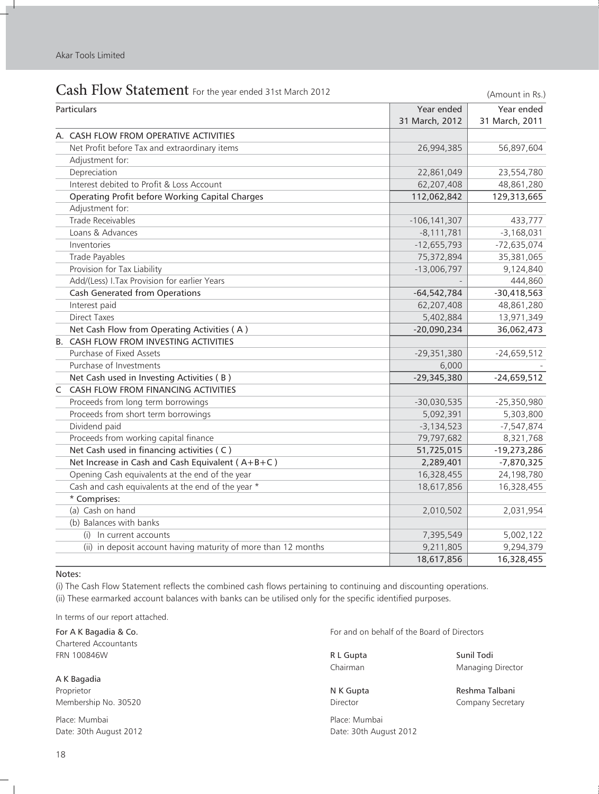Î.

| Cash Flow Statement For the year ended 31st March 2012         |                  | (Amount in Rs.) |
|----------------------------------------------------------------|------------------|-----------------|
| Particulars                                                    | Year ended       | Year ended      |
|                                                                | 31 March, 2012   | 31 March, 2011  |
| A. CASH FLOW FROM OPERATIVE ACTIVITIES                         |                  |                 |
| Net Profit before Tax and extraordinary items                  | 26,994,385       | 56,897,604      |
| Adjustment for:                                                |                  |                 |
| Depreciation                                                   | 22,861,049       | 23,554,780      |
| Interest debited to Profit & Loss Account                      | 62,207,408       | 48,861,280      |
| Operating Profit before Working Capital Charges                | 112,062,842      | 129,313,665     |
| Adjustment for:                                                |                  |                 |
| <b>Trade Receivables</b>                                       | $-106, 141, 307$ | 433,777         |
| Loans & Advances                                               | $-8,111,781$     | $-3,168,031$    |
| Inventories                                                    | $-12,655,793$    | $-72,635,074$   |
| Trade Payables                                                 | 75,372,894       | 35,381,065      |
| Provision for Tax Liability                                    | $-13,006,797$    | 9,124,840       |
| Add/(Less) I.Tax Provision for earlier Years                   |                  | 444,860         |
| <b>Cash Generated from Operations</b>                          | $-64,542,784$    | $-30,418,563$   |
| Interest paid                                                  | 62,207,408       | 48,861,280      |
| <b>Direct Taxes</b>                                            | 5,402,884        | 13,971,349      |
| Net Cash Flow from Operating Activities (A)                    | $-20,090,234$    | 36,062,473      |
| <b>B. CASH FLOW FROM INVESTING ACTIVITIES</b>                  |                  |                 |
| Purchase of Fixed Assets                                       | $-29,351,380$    | $-24,659,512$   |
| Purchase of Investments                                        | 6,000            |                 |
| Net Cash used in Investing Activities (B)                      | $-29,345,380$    | $-24,659,512$   |
| $\mathsf C$<br>CASH FLOW FROM FINANCING ACTIVITIES             |                  |                 |
| Proceeds from long term borrowings                             | $-30,030,535$    | $-25,350,980$   |
| Proceeds from short term borrowings                            | 5,092,391        | 5,303,800       |
| Dividend paid                                                  | $-3,134,523$     | $-7,547,874$    |
| Proceeds from working capital finance                          | 79,797,682       | 8,321,768       |
| Net Cash used in financing activities (C)                      | 51,725,015       | $-19,273,286$   |
| Net Increase in Cash and Cash Equivalent (A+B+C)               | 2,289,401        | $-7,870,325$    |
| Opening Cash equivalents at the end of the year                | 16,328,455       | 24,198,780      |
| Cash and cash equivalents at the end of the year *             | 18,617,856       | 16,328,455      |
| * Comprises:                                                   |                  |                 |
| $\overline{(a)}$ Cash on hand                                  | 2,010,502        | 2,031,954       |
| (b) Balances with banks                                        |                  |                 |
| (i) In current accounts                                        | 7,395,549        | 5,002,122       |
| (ii) in deposit account having maturity of more than 12 months | 9,211,805        | 9,294,379       |
|                                                                | 18,617,856       | 16,328,455      |

#### Notes:

(i) The Cash Flow Statement reflects the combined cash flows pertaining to continuing and discounting operations. (ii) These earmarked account balances with banks can be utilised only for the specific identified purposes.

In terms of our report attached.

Chartered Accountants FRN 100846W **R L Gupta** Sunil Todi

A K Bagadia Proprietor **N K Gupta Reshma Talbani** Reshma Talbani Reshma Talbani Reshma Talbani Reshma Talbani Membership No. 30520 **Director** Director **Company Secretary** 

Place: Mumbai Place: Mumbai Place: Mumbai Place: Mumbai Place: Mumbai Place: Mumbai Date: 30th August 2012 **Date: 30th August 2012** 

For A K Bagadia & Co. **For and on behalf of the Board of Directors** For and on behalf of the Board of Directors

Chairman Managing Director

 $\overline{1}$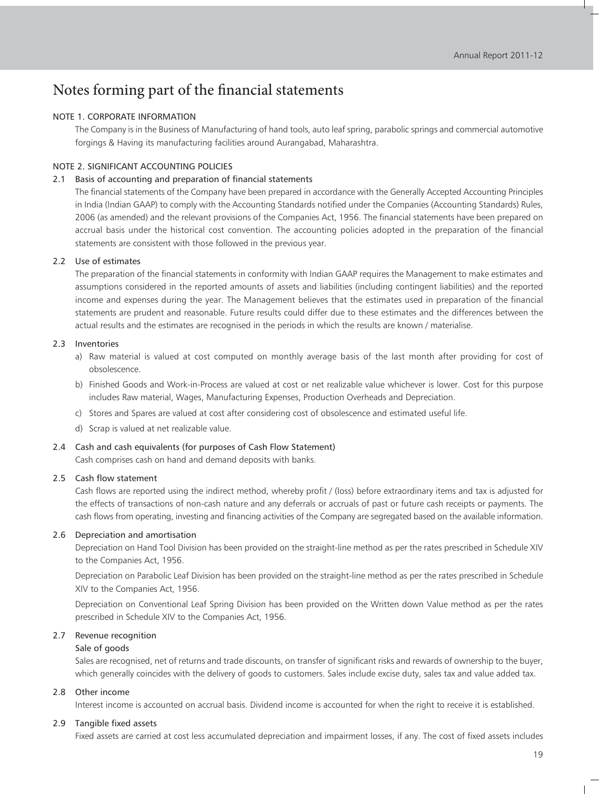#### NOTE 1. CORPORATE INFORMATION

The Company is in the Business of Manufacturing of hand tools, auto leaf spring, parabolic springs and commercial automotive forgings & Having its manufacturing facilities around Aurangabad, Maharashtra.

#### NOTE 2. SIGNIFICANT ACCOUNTING POLICIES

#### 2.1 Basis of accounting and preparation of financial statements

The financial statements of the Company have been prepared in accordance with the Generally Accepted Accounting Principles in India (Indian GAAP) to comply with the Accounting Standards notified under the Companies (Accounting Standards) Rules, 2006 (as amended) and the relevant provisions of the Companies Act, 1956. The financial statements have been prepared on accrual basis under the historical cost convention. The accounting policies adopted in the preparation of the financial statements are consistent with those followed in the previous year.

#### 2.2 Use of estimates

The preparation of the financial statements in conformity with Indian GAAP requires the Management to make estimates and assumptions considered in the reported amounts of assets and liabilities (including contingent liabilities) and the reported income and expenses during the year. The Management believes that the estimates used in preparation of the financial statements are prudent and reasonable. Future results could differ due to these estimates and the differences between the actual results and the estimates are recognised in the periods in which the results are known / materialise.

#### 2.3 Inventories

- a) Raw material is valued at cost computed on monthly average basis of the last month after providing for cost of obsolescence.
- b) Finished Goods and Work-in-Process are valued at cost or net realizable value whichever is lower. Cost for this purpose includes Raw material, Wages, Manufacturing Expenses, Production Overheads and Depreciation.
- c) Stores and Spares are valued at cost after considering cost of obsolescence and estimated useful life.
- d) Scrap is valued at net realizable value.

#### 2.4 Cash and cash equivalents (for purposes of Cash Flow Statement)

Cash comprises cash on hand and demand deposits with banks.

#### 2.5 Cash flow statement

Cash flows are reported using the indirect method, whereby profit / (loss) before extraordinary items and tax is adjusted for the effects of transactions of non-cash nature and any deferrals or accruals of past or future cash receipts or payments. The cash flows from operating, investing and financing activities of the Company are segregated based on the available information.

#### 2.6 Depreciation and amortisation

Depreciation on Hand Tool Division has been provided on the straight-line method as per the rates prescribed in Schedule XIV to the Companies Act, 1956.

Depreciation on Parabolic Leaf Division has been provided on the straight-line method as per the rates prescribed in Schedule XIV to the Companies Act, 1956.

Depreciation on Conventional Leaf Spring Division has been provided on the Written down Value method as per the rates prescribed in Schedule XIV to the Companies Act, 1956.

#### 2.7 Revenue recognition

#### Sale of goods

Sales are recognised, net of returns and trade discounts, on transfer of significant risks and rewards of ownership to the buyer, which generally coincides with the delivery of goods to customers. Sales include excise duty, sales tax and value added tax.

#### 2.8 Other income

Interest income is accounted on accrual basis. Dividend income is accounted for when the right to receive it is established.

#### 2.9 Tangible fixed assets

Fixed assets are carried at cost less accumulated depreciation and impairment losses, if any. The cost of fixed assets includes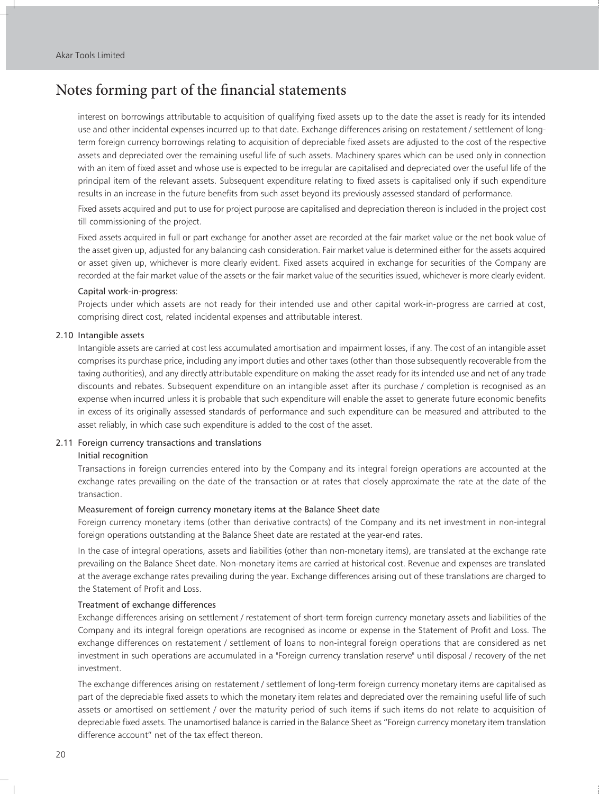interest on borrowings attributable to acquisition of qualifying fixed assets up to the date the asset is ready for its intended use and other incidental expenses incurred up to that date. Exchange differences arising on restatement / settlement of longterm foreign currency borrowings relating to acquisition of depreciable fixed assets are adjusted to the cost of the respective assets and depreciated over the remaining useful life of such assets. Machinery spares which can be used only in connection with an item of fixed asset and whose use is expected to be irregular are capitalised and depreciated over the useful life of the principal item of the relevant assets. Subsequent expenditure relating to fixed assets is capitalised only if such expenditure results in an increase in the future benefits from such asset beyond its previously assessed standard of performance.

Fixed assets acquired and put to use for project purpose are capitalised and depreciation thereon is included in the project cost till commissioning of the project.

Fixed assets acquired in full or part exchange for another asset are recorded at the fair market value or the net book value of the asset given up, adjusted for any balancing cash consideration. Fair market value is determined either for the assets acquired or asset given up, whichever is more clearly evident. Fixed assets acquired in exchange for securities of the Company are recorded at the fair market value of the assets or the fair market value of the securities issued, whichever is more clearly evident.

#### Capital work-in-progress:

Projects under which assets are not ready for their intended use and other capital work-in-progress are carried at cost, comprising direct cost, related incidental expenses and attributable interest.

#### 2.10 Intangible assets

Intangible assets are carried at cost less accumulated amortisation and impairment losses, if any. The cost of an intangible asset comprises its purchase price, including any import duties and other taxes (other than those subsequently recoverable from the taxing authorities), and any directly attributable expenditure on making the asset ready for its intended use and net of any trade discounts and rebates. Subsequent expenditure on an intangible asset after its purchase / completion is recognised as an expense when incurred unless it is probable that such expenditure will enable the asset to generate future economic benefits in excess of its originally assessed standards of performance and such expenditure can be measured and attributed to the asset reliably, in which case such expenditure is added to the cost of the asset.

#### 2.11 Foreign currency transactions and translations

#### Initial recognition

Transactions in foreign currencies entered into by the Company and its integral foreign operations are accounted at the exchange rates prevailing on the date of the transaction or at rates that closely approximate the rate at the date of the transaction.

#### Measurement of foreign currency monetary items at the Balance Sheet date

Foreign currency monetary items (other than derivative contracts) of the Company and its net investment in non-integral foreign operations outstanding at the Balance Sheet date are restated at the year-end rates.

In the case of integral operations, assets and liabilities (other than non-monetary items), are translated at the exchange rate prevailing on the Balance Sheet date. Non-monetary items are carried at historical cost. Revenue and expenses are translated at the average exchange rates prevailing during the year. Exchange differences arising out of these translations are charged to the Statement of Profit and Loss.

#### Treatment of exchange differences

Exchange differences arising on settlement / restatement of short-term foreign currency monetary assets and liabilities of the Company and its integral foreign operations are recognised as income or expense in the Statement of Profit and Loss. The exchange differences on restatement / settlement of loans to non-integral foreign operations that are considered as net investment in such operations are accumulated in a "Foreign currency translation reserve" until disposal / recovery of the net investment.

The exchange differences arising on restatement / settlement of long-term foreign currency monetary items are capitalised as part of the depreciable fixed assets to which the monetary item relates and depreciated over the remaining useful life of such assets or amortised on settlement / over the maturity period of such items if such items do not relate to acquisition of depreciable fixed assets. The unamortised balance is carried in the Balance Sheet as "Foreign currency monetary item translation difference account" net of the tax effect thereon.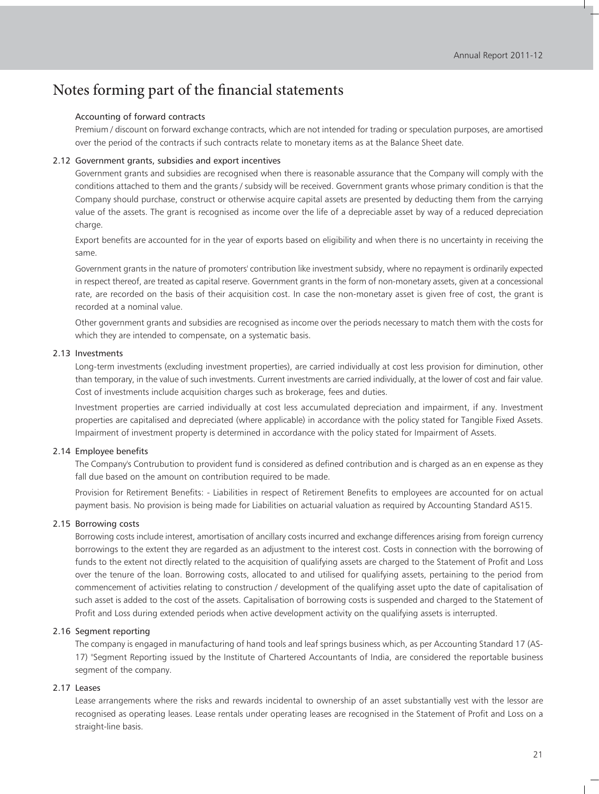#### Accounting of forward contracts

Premium / discount on forward exchange contracts, which are not intended for trading or speculation purposes, are amortised over the period of the contracts if such contracts relate to monetary items as at the Balance Sheet date.

#### 2.12 Government grants, subsidies and export incentives

Government grants and subsidies are recognised when there is reasonable assurance that the Company will comply with the conditions attached to them and the grants / subsidy will be received. Government grants whose primary condition is that the Company should purchase, construct or otherwise acquire capital assets are presented by deducting them from the carrying value of the assets. The grant is recognised as income over the life of a depreciable asset by way of a reduced depreciation charge.

Export benefits are accounted for in the year of exports based on eligibility and when there is no uncertainty in receiving the same.

Government grants in the nature of promoters' contribution like investment subsidy, where no repayment is ordinarily expected in respect thereof, are treated as capital reserve. Government grants in the form of non-monetary assets, given at a concessional rate, are recorded on the basis of their acquisition cost. In case the non-monetary asset is given free of cost, the grant is recorded at a nominal value.

Other government grants and subsidies are recognised as income over the periods necessary to match them with the costs for which they are intended to compensate, on a systematic basis.

#### 2.13 Investments

Long-term investments (excluding investment properties), are carried individually at cost less provision for diminution, other than temporary, in the value of such investments. Current investments are carried individually, at the lower of cost and fair value. Cost of investments include acquisition charges such as brokerage, fees and duties.

Investment properties are carried individually at cost less accumulated depreciation and impairment, if any. Investment properties are capitalised and depreciated (where applicable) in accordance with the policy stated for Tangible Fixed Assets. Impairment of investment property is determined in accordance with the policy stated for Impairment of Assets.

#### 2.14 Employee benefits

The Company's Contrubution to provident fund is considered as defined contribution and is charged as an en expense as they fall due based on the amount on contribution required to be made.

Provision for Retirement Benefits: - Liabilities in respect of Retirement Benefits to employees are accounted for on actual payment basis. No provision is being made for Liabilities on actuarial valuation as required by Accounting Standard AS15.

#### 2.15 Borrowing costs

Borrowing costs include interest, amortisation of ancillary costs incurred and exchange differences arising from foreign currency borrowings to the extent they are regarded as an adjustment to the interest cost. Costs in connection with the borrowing of funds to the extent not directly related to the acquisition of qualifying assets are charged to the Statement of Profit and Loss over the tenure of the loan. Borrowing costs, allocated to and utilised for qualifying assets, pertaining to the period from commencement of activities relating to construction / development of the qualifying asset upto the date of capitalisation of such asset is added to the cost of the assets. Capitalisation of borrowing costs is suspended and charged to the Statement of Profit and Loss during extended periods when active development activity on the qualifying assets is interrupted.

#### 2.16 Segment reporting

The company is engaged in manufacturing of hand tools and leaf springs business which, as per Accounting Standard 17 (AS-17) "Segment Reporting issued by the Institute of Chartered Accountants of India, are considered the reportable business segment of the company.

#### 2.17 Leases

Lease arrangements where the risks and rewards incidental to ownership of an asset substantially vest with the lessor are recognised as operating leases. Lease rentals under operating leases are recognised in the Statement of Profit and Loss on a straight-line basis.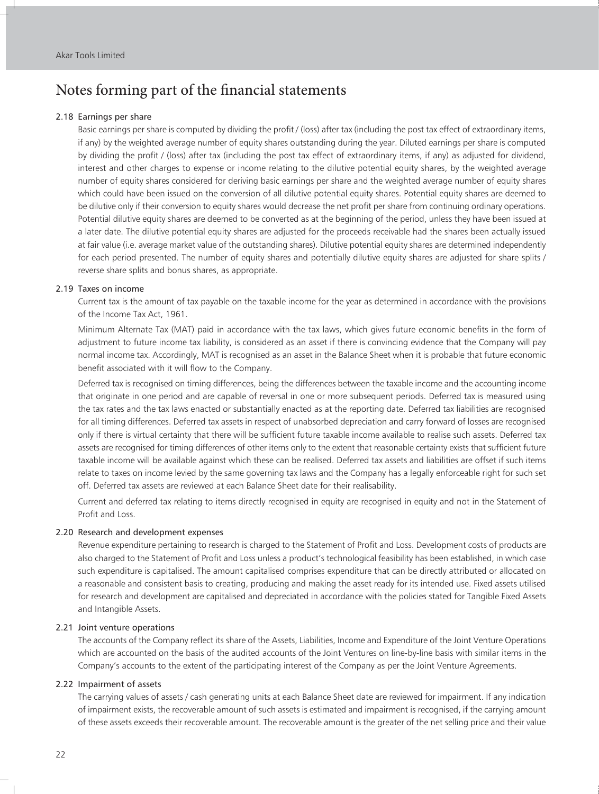#### 2.18 Earnings per share

Basic earnings per share is computed by dividing the profit / (loss) after tax (including the post tax effect of extraordinary items, if any) by the weighted average number of equity shares outstanding during the year. Diluted earnings per share is computed by dividing the profit / (loss) after tax (including the post tax effect of extraordinary items, if any) as adjusted for dividend, interest and other charges to expense or income relating to the dilutive potential equity shares, by the weighted average number of equity shares considered for deriving basic earnings per share and the weighted average number of equity shares which could have been issued on the conversion of all dilutive potential equity shares. Potential equity shares are deemed to be dilutive only if their conversion to equity shares would decrease the net profit per share from continuing ordinary operations. Potential dilutive equity shares are deemed to be converted as at the beginning of the period, unless they have been issued at a later date. The dilutive potential equity shares are adjusted for the proceeds receivable had the shares been actually issued at fair value (i.e. average market value of the outstanding shares). Dilutive potential equity shares are determined independently for each period presented. The number of equity shares and potentially dilutive equity shares are adjusted for share splits / reverse share splits and bonus shares, as appropriate.

#### 2.19 Taxes on income

Current tax is the amount of tax payable on the taxable income for the year as determined in accordance with the provisions of the Income Tax Act, 1961.

Minimum Alternate Tax (MAT) paid in accordance with the tax laws, which gives future economic benefits in the form of adjustment to future income tax liability, is considered as an asset if there is convincing evidence that the Company will pay normal income tax. Accordingly, MAT is recognised as an asset in the Balance Sheet when it is probable that future economic benefit associated with it will flow to the Company.

Deferred tax is recognised on timing differences, being the differences between the taxable income and the accounting income that originate in one period and are capable of reversal in one or more subsequent periods. Deferred tax is measured using the tax rates and the tax laws enacted or substantially enacted as at the reporting date. Deferred tax liabilities are recognised for all timing differences. Deferred tax assets in respect of unabsorbed depreciation and carry forward of losses are recognised only if there is virtual certainty that there will be sufficient future taxable income available to realise such assets. Deferred tax assets are recognised for timing differences of other items only to the extent that reasonable certainty exists that sufficient future taxable income will be available against which these can be realised. Deferred tax assets and liabilities are offset if such items relate to taxes on income levied by the same governing tax laws and the Company has a legally enforceable right for such set off. Deferred tax assets are reviewed at each Balance Sheet date for their realisability.

Current and deferred tax relating to items directly recognised in equity are recognised in equity and not in the Statement of Profit and Loss.

#### 2.20 Research and development expenses

Revenue expenditure pertaining to research is charged to the Statement of Profit and Loss. Development costs of products are also charged to the Statement of Profit and Loss unless a product's technological feasibility has been established, in which case such expenditure is capitalised. The amount capitalised comprises expenditure that can be directly attributed or allocated on a reasonable and consistent basis to creating, producing and making the asset ready for its intended use. Fixed assets utilised for research and development are capitalised and depreciated in accordance with the policies stated for Tangible Fixed Assets and Intangible Assets.

#### 2.21 Joint venture operations

The accounts of the Company reflect its share of the Assets, Liabilities, Income and Expenditure of the Joint Venture Operations which are accounted on the basis of the audited accounts of the Joint Ventures on line-by-line basis with similar items in the Company's accounts to the extent of the participating interest of the Company as per the Joint Venture Agreements.

#### 2.22 Impairment of assets

The carrying values of assets / cash generating units at each Balance Sheet date are reviewed for impairment. If any indication of impairment exists, the recoverable amount of such assets is estimated and impairment is recognised, if the carrying amount of these assets exceeds their recoverable amount. The recoverable amount is the greater of the net selling price and their value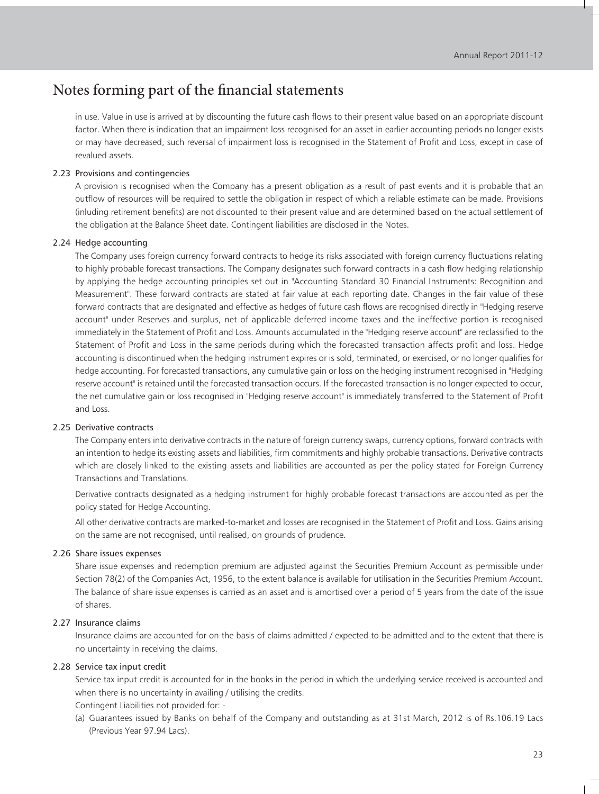in use. Value in use is arrived at by discounting the future cash flows to their present value based on an appropriate discount factor. When there is indication that an impairment loss recognised for an asset in earlier accounting periods no longer exists or may have decreased, such reversal of impairment loss is recognised in the Statement of Profit and Loss, except in case of revalued assets.

#### 2.23 Provisions and contingencies

A provision is recognised when the Company has a present obligation as a result of past events and it is probable that an outflow of resources will be required to settle the obligation in respect of which a reliable estimate can be made. Provisions (inluding retirement benefits) are not discounted to their present value and are determined based on the actual settlement of the obligation at the Balance Sheet date. Contingent liabilities are disclosed in the Notes.

#### 2.24 Hedge accounting

The Company uses foreign currency forward contracts to hedge its risks associated with foreign currency fluctuations relating to highly probable forecast transactions. The Company designates such forward contracts in a cash flow hedging relationship by applying the hedge accounting principles set out in "Accounting Standard 30 Financial Instruments: Recognition and Measurement". These forward contracts are stated at fair value at each reporting date. Changes in the fair value of these forward contracts that are designated and effective as hedges of future cash flows are recognised directly in "Hedging reserve account" under Reserves and surplus, net of applicable deferred income taxes and the ineffective portion is recognised immediately in the Statement of Profit and Loss. Amounts accumulated in the "Hedging reserve account" are reclassified to the Statement of Profit and Loss in the same periods during which the forecasted transaction affects profit and loss. Hedge accounting is discontinued when the hedging instrument expires or is sold, terminated, or exercised, or no longer qualifies for hedge accounting. For forecasted transactions, any cumulative gain or loss on the hedging instrument recognised in "Hedging reserve account" is retained until the forecasted transaction occurs. If the forecasted transaction is no longer expected to occur, the net cumulative gain or loss recognised in "Hedging reserve account" is immediately transferred to the Statement of Profit and Loss.

#### 2.25 Derivative contracts

The Company enters into derivative contracts in the nature of foreign currency swaps, currency options, forward contracts with an intention to hedge its existing assets and liabilities, firm commitments and highly probable transactions. Derivative contracts which are closely linked to the existing assets and liabilities are accounted as per the policy stated for Foreign Currency Transactions and Translations.

Derivative contracts designated as a hedging instrument for highly probable forecast transactions are accounted as per the policy stated for Hedge Accounting.

All other derivative contracts are marked-to-market and losses are recognised in the Statement of Profit and Loss. Gains arising on the same are not recognised, until realised, on grounds of prudence.

#### 2.26 Share issues expenses

Share issue expenses and redemption premium are adjusted against the Securities Premium Account as permissible under Section 78(2) of the Companies Act, 1956, to the extent balance is available for utilisation in the Securities Premium Account. The balance of share issue expenses is carried as an asset and is amortised over a period of 5 years from the date of the issue of shares.

#### 2.27 Insurance claims

Insurance claims are accounted for on the basis of claims admitted / expected to be admitted and to the extent that there is no uncertainty in receiving the claims.

#### 2.28 Service tax input credit

Service tax input credit is accounted for in the books in the period in which the underlying service received is accounted and when there is no uncertainty in availing / utilising the credits.

- Contingent Liabilities not provided for: -
- (a) Guarantees issued by Banks on behalf of the Company and outstanding as at 31st March, 2012 is of Rs.106.19 Lacs (Previous Year 97.94 Lacs).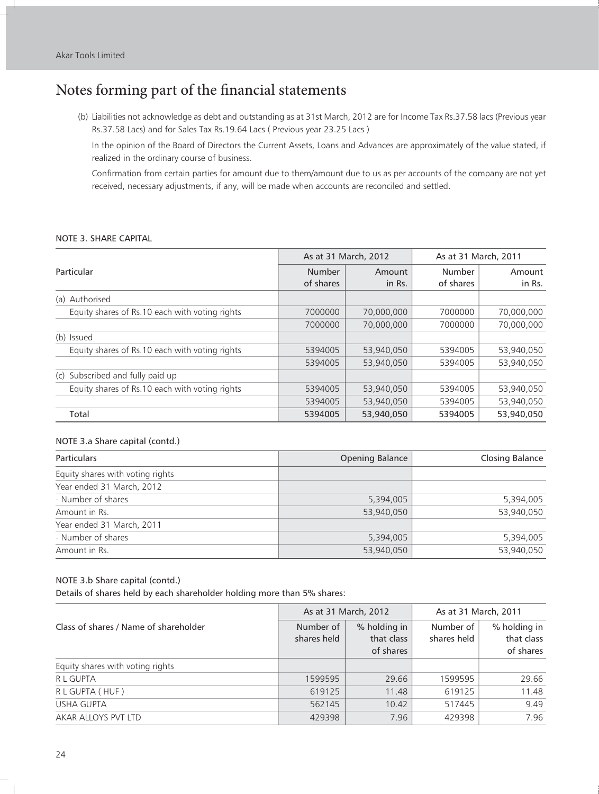(b) Liabilities not acknowledge as debt and outstanding as at 31st March, 2012 are for Income Tax Rs.37.58 lacs (Previous year Rs.37.58 Lacs) and for Sales Tax Rs.19.64 Lacs ( Previous year 23.25 Lacs )

In the opinion of the Board of Directors the Current Assets, Loans and Advances are approximately of the value stated, if realized in the ordinary course of business.

Confirmation from certain parties for amount due to them/amount due to us as per accounts of the company are not yet received, necessary adjustments, if any, will be made when accounts are reconciled and settled.

#### NOTE 3. SHARE CAPITAL

|                                                |                     | As at 31 March, 2012 | As at 31 March, 2011 |                  |
|------------------------------------------------|---------------------|----------------------|----------------------|------------------|
| Particular                                     | Number<br>of shares | Amount<br>in Rs.     | Number<br>of shares  | Amount<br>in Rs. |
| (a) Authorised                                 |                     |                      |                      |                  |
| Equity shares of Rs.10 each with voting rights | 7000000             | 70,000,000           | 7000000              | 70,000,000       |
|                                                | 7000000             | 70,000,000           | 7000000              | 70,000,000       |
| (b) Issued                                     |                     |                      |                      |                  |
| Equity shares of Rs.10 each with voting rights | 5394005             | 53,940,050           | 5394005              | 53,940,050       |
|                                                | 5394005             | 53,940,050           | 5394005              | 53,940,050       |
| (c) Subscribed and fully paid up               |                     |                      |                      |                  |
| Equity shares of Rs.10 each with voting rights | 5394005             | 53,940,050           | 5394005              | 53,940,050       |
|                                                | 5394005             | 53,940,050           | 5394005              | 53,940,050       |
| Total                                          | 5394005             | 53,940,050           | 5394005              | 53,940,050       |

#### NOTE 3.a Share capital (contd.)

| <b>Particulars</b>               | Opening Balance | Closing Balance |
|----------------------------------|-----------------|-----------------|
| Equity shares with voting rights |                 |                 |
| Year ended 31 March, 2012        |                 |                 |
| - Number of shares               | 5,394,005       | 5,394,005       |
| Amount in Rs.                    | 53,940,050      | 53,940,050      |
| Year ended 31 March, 2011        |                 |                 |
| - Number of shares               | 5,394,005       | 5,394,005       |
| Amount in Rs.                    | 53,940,050      | 53.940.050      |

#### NOTE 3.b Share capital (contd.)

Details of shares held by each shareholder holding more than 5% shares:

|                                       |                          | As at 31 March, 2012                    | As at 31 March, 2011     |                                         |
|---------------------------------------|--------------------------|-----------------------------------------|--------------------------|-----------------------------------------|
| Class of shares / Name of shareholder | Number of<br>shares held | % holding in<br>that class<br>of shares | Number of<br>shares held | % holding in<br>that class<br>of shares |
| Equity shares with voting rights      |                          |                                         |                          |                                         |
| R L GUPTA                             | 1599595                  | 29.66                                   | 1599595                  | 29.66                                   |
| R L GUPTA (HUF)                       | 619125                   | 11.48                                   | 619125                   | 11.48                                   |
| <b>USHA GUPTA</b>                     | 562145                   | 10.42                                   | 517445                   | 9.49                                    |
| AKAR ALLOYS PVT LTD                   | 429398                   | 7.96                                    | 429398                   | 7.96                                    |

 $\overline{1}$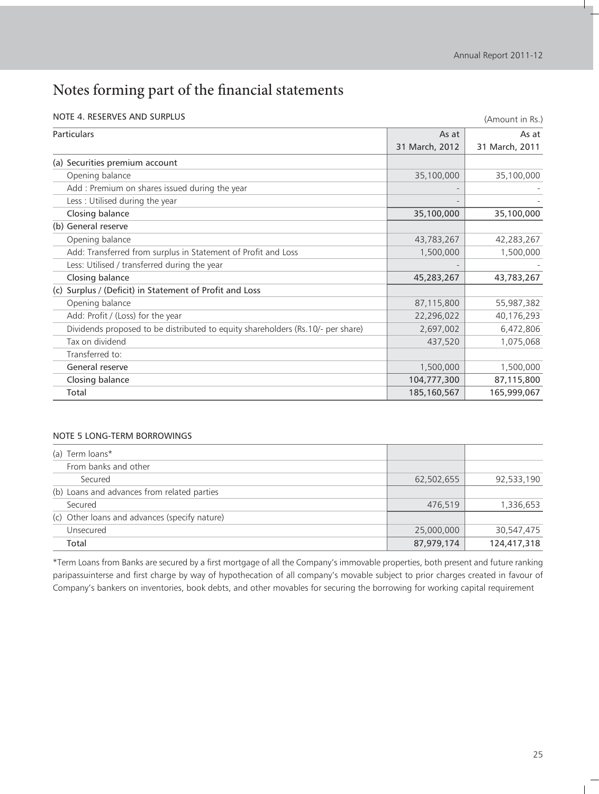|  |  | NOTE 4. RESERVES AND SURPLUS |
|--|--|------------------------------|
|  |  |                              |

| NOTE 4. RESERVES AND SURPLUS                                                    |                | (Amount in Rs.) |
|---------------------------------------------------------------------------------|----------------|-----------------|
| <b>Particulars</b>                                                              | As at          | As at           |
|                                                                                 | 31 March, 2012 | 31 March, 2011  |
| (a) Securities premium account                                                  |                |                 |
| Opening balance                                                                 | 35,100,000     | 35,100,000      |
| Add : Premium on shares issued during the year                                  |                |                 |
| Less: Utilised during the year                                                  |                |                 |
| Closing balance                                                                 | 35,100,000     | 35,100,000      |
| (b) General reserve                                                             |                |                 |
| Opening balance                                                                 | 43,783,267     | 42,283,267      |
| Add: Transferred from surplus in Statement of Profit and Loss                   | 1,500,000      | 1,500,000       |
| Less: Utilised / transferred during the year                                    |                |                 |
| Closing balance                                                                 | 45,283,267     | 43,783,267      |
| (c) Surplus / (Deficit) in Statement of Profit and Loss                         |                |                 |
| Opening balance                                                                 | 87,115,800     | 55,987,382      |
| Add: Profit / (Loss) for the year                                               | 22,296,022     | 40,176,293      |
| Dividends proposed to be distributed to equity shareholders (Rs.10/- per share) | 2,697,002      | 6,472,806       |
| Tax on dividend                                                                 | 437,520        | 1,075,068       |
| Transferred to:                                                                 |                |                 |
| General reserve                                                                 | 1,500,000      | 1,500,000       |
| Closing balance                                                                 | 104,777,300    | 87,115,800      |
| Total                                                                           | 185,160,567    | 165,999,067     |

#### NOTE 5 LONG-TERM BORROWINGS

| (a) Term loans*                               |            |             |
|-----------------------------------------------|------------|-------------|
| From banks and other                          |            |             |
| Secured                                       | 62,502,655 | 92,533,190  |
| (b) Loans and advances from related parties   |            |             |
| Secured                                       | 476.519    | 1,336,653   |
| (c) Other loans and advances (specify nature) |            |             |
| Unsecured                                     | 25,000,000 | 30,547,475  |
| Total                                         | 87,979,174 | 124,417,318 |

\*Term Loans from Banks are secured by a first mortgage of all the Company's immovable properties, both present and future ranking paripassuinterse and first charge by way of hypothecation of all company's movable subject to prior charges created in favour of Company's bankers on inventories, book debts, and other movables for securing the borrowing for working capital requirement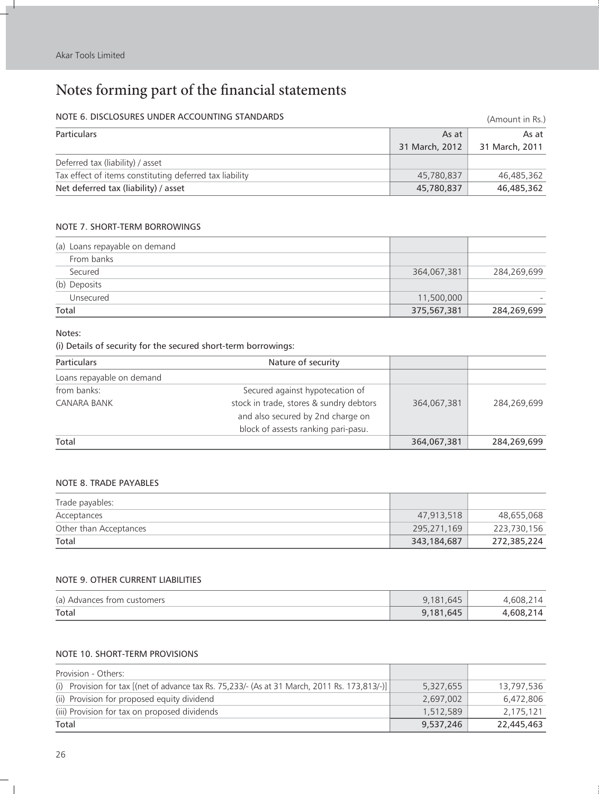I.

## Notes forming part of the financial statements

## NOTE 6. DISCLOSURES UNDER ACCOUNTING STANDARDS (Amount in Rs.)

| <b>Particulars</b>                                      | As at          | As at          |
|---------------------------------------------------------|----------------|----------------|
|                                                         | 31 March, 2012 | 31 March, 2011 |
| Deferred tax (liability) / asset                        |                |                |
| Tax effect of items constituting deferred tax liability | 45,780,837     | 46,485,362     |
| Net deferred tax (liability) / asset                    | 45,780,837     | 46,485,362     |

#### NOTE 7. SHORT-TERM BORROWINGS

| (a) Loans repayable on demand |             |             |
|-------------------------------|-------------|-------------|
| From banks                    |             |             |
| Secured                       | 364,067,381 | 284,269,699 |
| (b) Deposits                  |             |             |
| Unsecured                     | 11,500,000  |             |
| Total                         | 375,567,381 | 284,269,699 |

#### Notes:

#### (i) Details of security for the secured short-term borrowings:

| <b>Particulars</b><br>Nature of security |                                         |             |             |
|------------------------------------------|-----------------------------------------|-------------|-------------|
| Loans repayable on demand                |                                         |             |             |
| from banks:                              | Secured against hypotecation of         |             |             |
| <b>CANARA BANK</b>                       | stock in trade, stores & sundry debtors | 364,067,381 | 284.269.699 |
|                                          | and also secured by 2nd charge on       |             |             |
|                                          | block of assests ranking pari-pasu.     |             |             |
| Total                                    |                                         | 364,067,381 | 284,269,699 |

#### NOTE 8. TRADE PAYABLES

| Trade payables:        |             |             |
|------------------------|-------------|-------------|
| Acceptances            | 47,913,518  | 48,655,068  |
| Other than Acceptances | 295,271,169 | 223,730,156 |
| Total                  | 343,184,687 | 272,385,224 |

#### NOTE 9. OTHER CURRENT LIABILITIES

| (a) Advances from customers | 9,181,645 | .608.2    |
|-----------------------------|-----------|-----------|
| Total                       | 9,181,645 | 4,608,214 |

#### NOTE 10. SHORT-TERM PROVISIONS

| Provision - Others:                                                                           |           |            |
|-----------------------------------------------------------------------------------------------|-----------|------------|
| (i) Provision for tax [(net of advance tax Rs. 75,233/- (As at 31 March, 2011 Rs. 173,813/-)] | 5,327,655 | 13,797,536 |
| (ii) Provision for proposed equity dividend                                                   | 2.697.002 | 6.472.806  |
| (iii) Provision for tax on proposed dividends                                                 | 1,512,589 | 2,175,121  |
| Total                                                                                         | 9,537,246 | 22,445,463 |

 $\pm$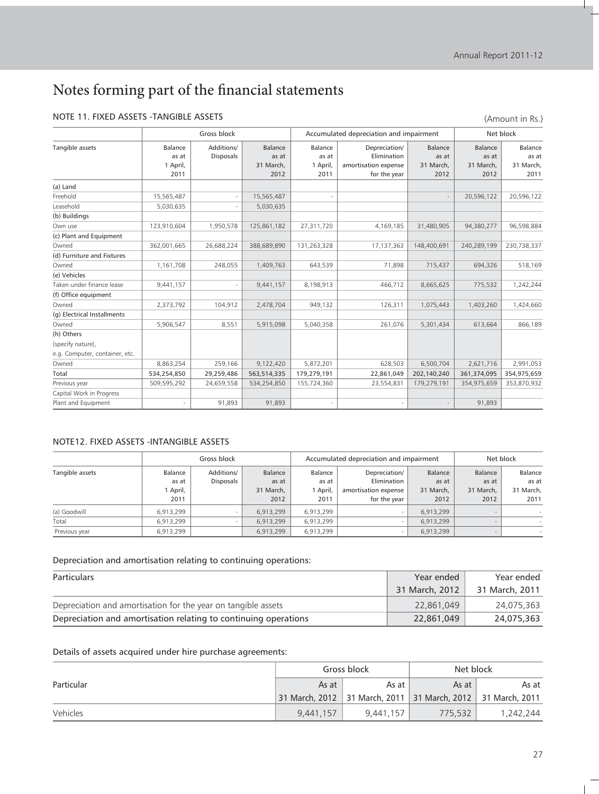#### NOTE 11. FIXED ASSETS -TANGIBLE ASSETS

(Amount in Rs.)

H.

|                                |                                      | Gross block                    |                                       | Accumulated depreciation and impairment |                                                                      |                                       | Net block                             |                                       |  |
|--------------------------------|--------------------------------------|--------------------------------|---------------------------------------|-----------------------------------------|----------------------------------------------------------------------|---------------------------------------|---------------------------------------|---------------------------------------|--|
| Tangible assets                | Balance<br>as at<br>1 April,<br>2011 | Additions/<br><b>Disposals</b> | Balance<br>as at<br>31 March,<br>2012 | Balance<br>as at<br>1 April,<br>2011    | Depreciation/<br>Elimination<br>amortisation expense<br>for the year | Balance<br>as at<br>31 March,<br>2012 | Balance<br>as at<br>31 March,<br>2012 | Balance<br>as at<br>31 March,<br>2011 |  |
| (a) Land                       |                                      |                                |                                       |                                         |                                                                      |                                       |                                       |                                       |  |
| Freehold                       | 15,565,487                           |                                | 15,565,487                            |                                         |                                                                      |                                       | 20,596,122                            | 20,596,122                            |  |
| Leasehold                      | 5,030,635                            |                                | 5,030,635                             |                                         |                                                                      |                                       |                                       |                                       |  |
| (b) Buildings                  |                                      |                                |                                       |                                         |                                                                      |                                       |                                       |                                       |  |
| Own use                        | 123,910,604                          | 1,950,578                      | 125,861,182                           | 27,311,720                              | 4,169,185                                                            | 31,480,905                            | 94,380,277                            | 96,598,884                            |  |
| (c) Plant and Equipment        |                                      |                                |                                       |                                         |                                                                      |                                       |                                       |                                       |  |
| Owned                          | 362,001,665                          | 26,688,224                     | 388,689,890                           | 131,263,328                             | 17,137,363                                                           | 148,400,691                           | 240,289,199                           | 230,738,337                           |  |
| (d) Furniture and Fixtures     |                                      |                                |                                       |                                         |                                                                      |                                       |                                       |                                       |  |
| Owned                          | 1,161,708                            | 248,055                        | 1,409,763                             | 643,539                                 | 71,898                                                               | 715,437                               | 694,326                               | 518,169                               |  |
| (e) Vehicles                   |                                      |                                |                                       |                                         |                                                                      |                                       |                                       |                                       |  |
| Taken under finance lease      | 9,441,157                            | ÷                              | 9,441,157                             | 8,198,913                               | 466,712                                                              | 8,665,625                             | 775,532                               | 1,242,244                             |  |
| (f) Office equipment           |                                      |                                |                                       |                                         |                                                                      |                                       |                                       |                                       |  |
| Owned                          | 2,373,792                            | 104,912                        | 2,478,704                             | 949,132                                 | 126,311                                                              | 1,075,443                             | 1,403,260                             | 1,424,660                             |  |
| (g) Electrical Installments    |                                      |                                |                                       |                                         |                                                                      |                                       |                                       |                                       |  |
| Owned                          | 5,906,547                            | 8,551                          | 5,915,098                             | 5,040,358                               | 261,076                                                              | 5,301,434                             | 613,664                               | 866,189                               |  |
| (h) Others                     |                                      |                                |                                       |                                         |                                                                      |                                       |                                       |                                       |  |
| (specify nature),              |                                      |                                |                                       |                                         |                                                                      |                                       |                                       |                                       |  |
| e.g. Computer, container, etc. |                                      |                                |                                       |                                         |                                                                      |                                       |                                       |                                       |  |
| Owned                          | 8,863,254                            | 259,166                        | 9,122,420                             | 5,872,201                               | 628,503                                                              | 6,500,704                             | 2,621,716                             | 2,991,053                             |  |
| Total                          | 534,254,850                          | 29,259,486                     | 563,514,335                           | 179,279,191                             | 22,861,049                                                           | 202,140,240                           | 361,374,095                           | 354,975,659                           |  |
| Previous year                  | 509,595,292                          | 24,659,558                     | 534,254,850                           | 155,724,360                             | 23,554,831                                                           | 179,279,191                           | 354,975,659                           | 353,870,932                           |  |
| Capital Work in Progress       |                                      |                                |                                       |                                         |                                                                      |                                       |                                       |                                       |  |
| Plant and Equipment            | ٠                                    | 91,893                         | 91,893                                | $\overline{\phantom{a}}$                |                                                                      | $\sim$                                | 91,893                                |                                       |  |

#### NOTE12. FIXED ASSETS -INTANGIBLE ASSETS

|                 | Gross block                          |                                |                                       | Accumulated depreciation and impairment |                                                                      |                                       | Net block                             |                                       |
|-----------------|--------------------------------------|--------------------------------|---------------------------------------|-----------------------------------------|----------------------------------------------------------------------|---------------------------------------|---------------------------------------|---------------------------------------|
| Tangible assets | Balance<br>as at<br>1 April,<br>2011 | Additions/<br><b>Disposals</b> | Balance<br>as at<br>31 March,<br>2012 | Balance<br>as at<br>1 April,<br>2011    | Depreciation/<br>Elimination<br>amortisation expense<br>for the year | Balance<br>as at<br>31 March.<br>2012 | Balance<br>as at<br>31 March,<br>2012 | Balance<br>as at<br>31 March,<br>2011 |
| (a) Goodwill    | 6,913,299                            |                                | 6,913,299                             | 6,913,299                               |                                                                      | 6.913.299                             |                                       |                                       |
| Total           | 6,913,299                            |                                | 6,913,299                             | 6,913,299                               |                                                                      | 6.913.299                             |                                       | $\overline{\phantom{a}}$              |
| Previous year   | 6.913.299                            |                                | 6,913,299                             | 6,913,299                               |                                                                      | 6.913.299                             |                                       |                                       |

#### Depreciation and amortisation relating to continuing operations:

| Particulars                                                     | Year ended     | Year ended     |
|-----------------------------------------------------------------|----------------|----------------|
|                                                                 | 31 March, 2012 | 31 March, 2011 |
| Depreciation and amortisation for the year on tangible assets   | 22.861.049     | 24,075,363     |
| Depreciation and amortisation relating to continuing operations | 22,861,049     | 24,075,363     |

#### Details of assets acquired under hire purchase agreements:

|            |           | Gross block | Net block                                                         |           |  |
|------------|-----------|-------------|-------------------------------------------------------------------|-----------|--|
| Particular | As at     | As at       | As at                                                             | As at     |  |
|            |           |             | 31 March, 2012   31 March, 2011   31 March, 2012   31 March, 2011 |           |  |
| Vehicles   | 9,441,157 | 9,441,157   | 775,532                                                           | 1,242,244 |  |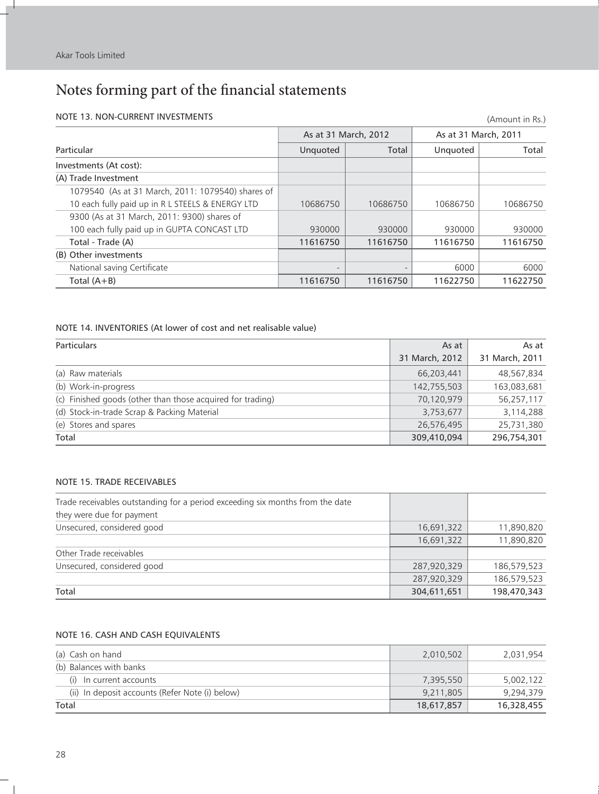Î.

## Notes forming part of the financial statements

#### NOTE 13. NON-CURRENT INVESTMENTS

| NOTE 13. NON-CURRENT INVESTMENTS<br>(Amount in Rs.) |          |                      |          |                      |  |  |
|-----------------------------------------------------|----------|----------------------|----------|----------------------|--|--|
|                                                     |          | As at 31 March, 2012 |          | As at 31 March, 2011 |  |  |
| Particular                                          | Unquoted | Total                | Unquoted | Total                |  |  |
| Investments (At cost):                              |          |                      |          |                      |  |  |
| (A) Trade Investment                                |          |                      |          |                      |  |  |
| 1079540 (As at 31 March, 2011: 1079540) shares of   |          |                      |          |                      |  |  |
| 10 each fully paid up in R L STEELS & ENERGY LTD    | 10686750 | 10686750             | 10686750 | 10686750             |  |  |
| 9300 (As at 31 March, 2011: 9300) shares of         |          |                      |          |                      |  |  |
| 100 each fully paid up in GUPTA CONCAST LTD         | 930000   | 930000               | 930000   | 930000               |  |  |
| Total - Trade (A)                                   | 11616750 | 11616750             | 11616750 | 11616750             |  |  |
| (B) Other investments                               |          |                      |          |                      |  |  |
| National saving Certificate                         |          |                      | 6000     | 6000                 |  |  |
| Total $(A+B)$                                       | 11616750 | 11616750             | 11622750 | 11622750             |  |  |

#### NOTE 14. INVENTORIES (At lower of cost and net realisable value)

| <b>Particulars</b>                                         | As at          | As at          |
|------------------------------------------------------------|----------------|----------------|
|                                                            | 31 March, 2012 | 31 March, 2011 |
| (a) Raw materials                                          | 66,203,441     | 48,567,834     |
| (b) Work-in-progress                                       | 142,755,503    | 163,083,681    |
| (c) Finished goods (other than those acquired for trading) | 70,120,979     | 56,257,117     |
| (d) Stock-in-trade Scrap & Packing Material                | 3,753,677      | 3,114,288      |
| (e) Stores and spares                                      | 26,576,495     | 25,731,380     |
| Total                                                      | 309,410,094    | 296,754,301    |

#### NOTE 15. TRADE RECEIVABLES

| Trade receivables outstanding for a period exceeding six months from the date |             |             |
|-------------------------------------------------------------------------------|-------------|-------------|
| they were due for payment                                                     |             |             |
| Unsecured, considered good                                                    | 16,691,322  | 11,890,820  |
|                                                                               | 16,691,322  | 11,890,820  |
| Other Trade receivables                                                       |             |             |
| Unsecured, considered good                                                    | 287,920,329 | 186,579,523 |
|                                                                               | 287,920,329 | 186,579,523 |
| Total                                                                         | 304,611,651 | 198,470,343 |

#### NOTE 16. CASH AND CASH EQUIVALENTS

| (a) Cash on hand                                | 2,010,502  | 2,031,954  |
|-------------------------------------------------|------------|------------|
| (b) Balances with banks                         |            |            |
| (i) In current accounts                         | 7,395,550  | 5,002,122  |
| (ii) In deposit accounts (Refer Note (i) below) | 9,211,805  | 9,294,379  |
| Total                                           | 18,617,857 | 16,328,455 |

 $\overline{\phantom{a}}$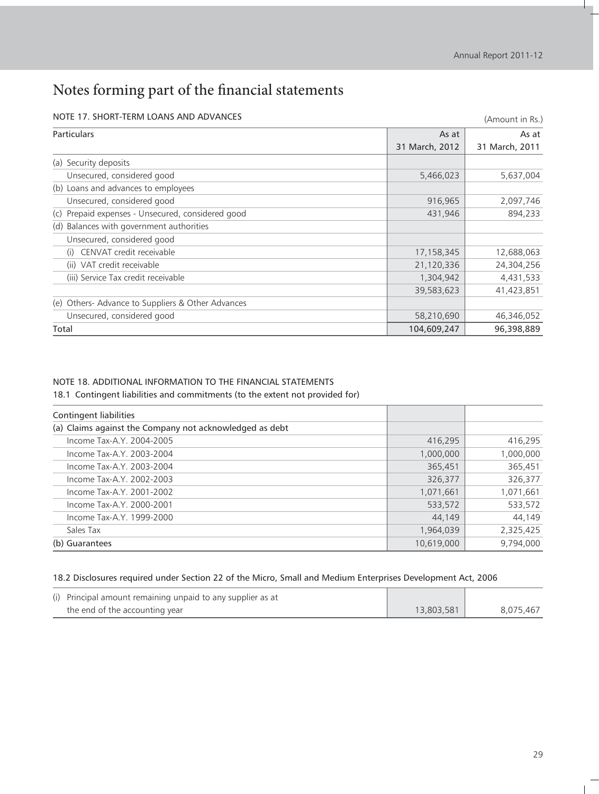| NOTE 17. SHORT-TERM LOANS AND ADVANCES               |                | (Amount in Rs.) |
|------------------------------------------------------|----------------|-----------------|
| Particulars                                          | As at          | As at           |
|                                                      | 31 March, 2012 | 31 March, 2011  |
| (a) Security deposits                                |                |                 |
| Unsecured, considered good                           | 5,466,023      | 5,637,004       |
| (b) Loans and advances to employees                  |                |                 |
| Unsecured, considered good                           | 916,965        | 2,097,746       |
| Prepaid expenses - Unsecured, considered good<br>(c) | 431,946        | 894,233         |
| (d) Balances with government authorities             |                |                 |
| Unsecured, considered good                           |                |                 |
| CENVAT credit receivable<br>(i)                      | 17,158,345     | 12,688,063      |
| (ii) VAT credit receivable                           | 21,120,336     | 24,304,256      |
| (iii) Service Tax credit receivable                  | 1,304,942      | 4,431,533       |
|                                                      | 39,583,623     | 41,423,851      |
| (e) Others- Advance to Suppliers & Other Advances    |                |                 |
| Unsecured, considered good                           | 58,210,690     | 46,346,052      |
| Total                                                | 104,609,247    | 96,398,889      |

#### NOTE 17. SHORT-TERM LOANS AND ADVANCES

#### NOTE 18. ADDITIONAL INFORMATION TO THE FINANCIAL STATEMENTS

18.1 Contingent liabilities and commitments (to the extent not provided for)

| Contingent liabilities                                  |            |           |
|---------------------------------------------------------|------------|-----------|
| (a) Claims against the Company not acknowledged as debt |            |           |
| Income Tax-A.Y. 2004-2005                               | 416.295    | 416,295   |
| Income Tax-A.Y. 2003-2004                               | 1,000,000  | 1,000,000 |
| Income Tax-A.Y. 2003-2004                               | 365,451    | 365,451   |
| Income Tax-A.Y. 2002-2003                               | 326,377    | 326,377   |
| Income Tax-A.Y. 2001-2002                               | 1,071,661  | 1,071,661 |
| Income Tax-A.Y. 2000-2001                               | 533,572    | 533,572   |
| Income Tax-A.Y. 1999-2000                               | 44.149     | 44,149    |
| Sales Tax                                               | 1,964,039  | 2,325,425 |
| (b) Guarantees                                          | 10,619,000 | 9.794.000 |

#### 18.2 Disclosures required under Section 22 of the Micro, Small and Medium Enterprises Development Act, 2006

| (i) Principal amount remaining unpaid to any supplier as at |            |           |
|-------------------------------------------------------------|------------|-----------|
| the end of the accounting year                              | 13,803,581 | 8.075.467 |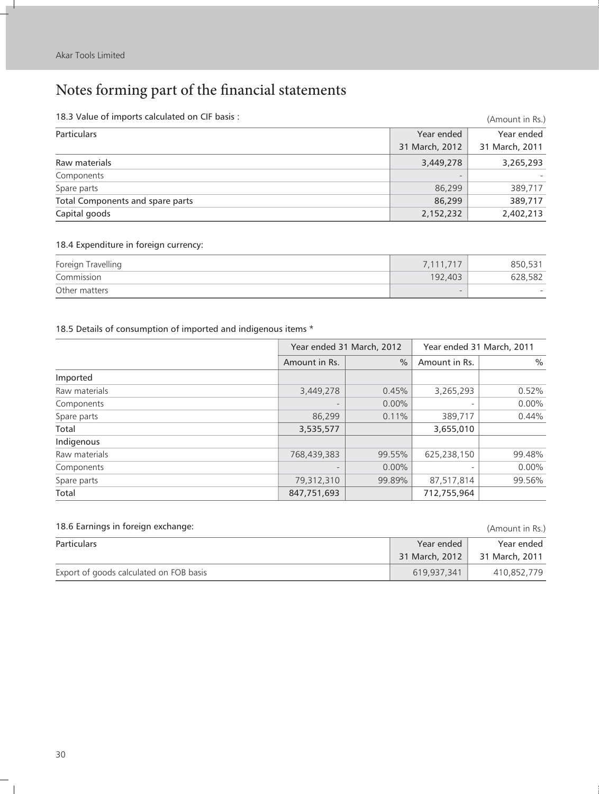Î.

## Notes forming part of the financial statements

| 18.3 Value of imports calculated on CIF basis : |                | (Amount in Rs.) |
|-------------------------------------------------|----------------|-----------------|
| <b>Particulars</b>                              | Year ended     | Year ended      |
|                                                 | 31 March, 2012 | 31 March, 2011  |
| Raw materials                                   | 3,449,278      | 3,265,293       |
| Components                                      | $-$            |                 |
| Spare parts                                     | 86,299         | 389,717         |
| Total Components and spare parts                | 86,299         | 389,717         |
| Capital goods                                   | 2,152,232      | 2,402,213       |

### 18.4 Expenditure in foreign currency:

| Foreign Travelling | 7,111,717 | 850.53  |
|--------------------|-----------|---------|
| Commission         | 192,403   | 628,582 |
| Other matters      |           |         |

#### 18.5 Details of consumption of imported and indigenous items \*

|               | Year ended 31 March, 2012 |               | Year ended 31 March, 2011 |          |
|---------------|---------------------------|---------------|---------------------------|----------|
|               | Amount in Rs.             | $\frac{0}{0}$ | Amount in Rs.             | $\%$     |
| Imported      |                           |               |                           |          |
| Raw materials | 3,449,278                 | 0.45%         | 3,265,293                 | 0.52%    |
| Components    |                           | $0.00\%$      |                           | $0.00\%$ |
| Spare parts   | 86.299                    | 0.11%         | 389,717                   | 0.44%    |
| Total         | 3,535,577                 |               | 3,655,010                 |          |
| Indigenous    |                           |               |                           |          |
| Raw materials | 768,439,383               | 99.55%        | 625,238,150               | 99.48%   |
| Components    |                           | $0.00\%$      |                           | $0.00\%$ |
| Spare parts   | 79,312,310                | 99.89%        | 87,517,814                | 99.56%   |
| Total         | 847,751,693               |               | 712,755,964               |          |

| 18.6 Earnings in foreign exchange:      |                | (Amount in Rs.) |
|-----------------------------------------|----------------|-----------------|
| <b>Particulars</b>                      | Year ended     | Year ended      |
|                                         | 31 March, 2012 | 31 March, 2011  |
| Export of goods calculated on FOB basis | 619.937.341    | 410.852.779     |

 $\sim$   $\pm$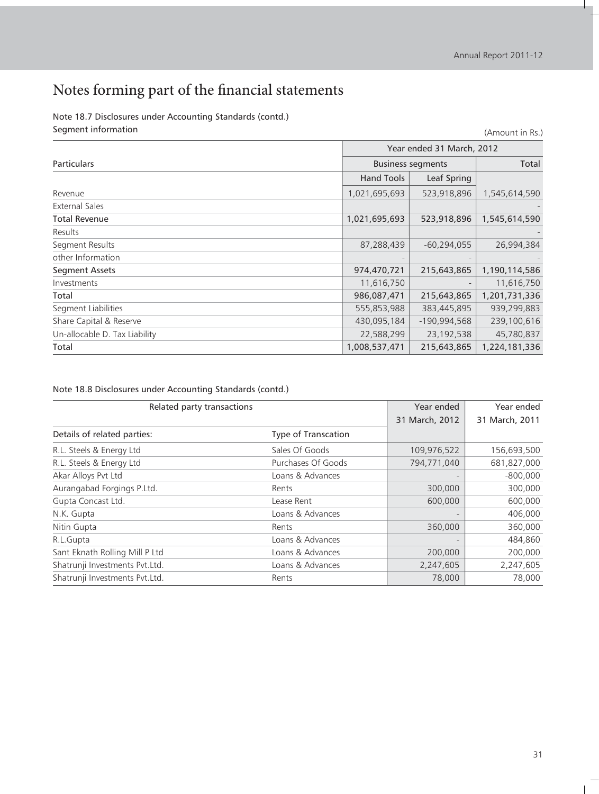H.

(Amount in Rs.)

## Notes forming part of the financial statements

Note 18.7 Disclosures under Accounting Standards (contd.) Segment information

|                               | Year ended 31 March, 2012 |                |               |
|-------------------------------|---------------------------|----------------|---------------|
| <b>Particulars</b>            | <b>Business segments</b>  |                | Total         |
|                               | <b>Hand Tools</b>         | Leaf Spring    |               |
| Revenue                       | 1,021,695,693             | 523,918,896    | 1,545,614,590 |
| External Sales                |                           |                |               |
| <b>Total Revenue</b>          | 1,021,695,693             | 523,918,896    | 1,545,614,590 |
| Results                       |                           |                |               |
| Segment Results               | 87,288,439                | $-60,294,055$  | 26,994,384    |
| other Information             |                           |                |               |
| <b>Segment Assets</b>         | 974,470,721               | 215,643,865    | 1,190,114,586 |
| Investments                   | 11,616,750                |                | 11,616,750    |
| Total                         | 986,087,471               | 215,643,865    | 1,201,731,336 |
| Segment Liabilities           | 555,853,988               | 383,445,895    | 939,299,883   |
| Share Capital & Reserve       | 430,095,184               | $-190,994,568$ | 239,100,616   |
| Un-allocable D. Tax Liability | 22,588,299                | 23, 192, 538   | 45,780,837    |
| Total                         | 1,008,537,471             | 215,643,865    | 1,224,181,336 |

#### Note 18.8 Disclosures under Accounting Standards (contd.)

| Related party transactions     |                            | Year ended     | Year ended     |
|--------------------------------|----------------------------|----------------|----------------|
|                                |                            | 31 March, 2012 | 31 March, 2011 |
| Details of related parties:    | <b>Type of Transcation</b> |                |                |
| R.L. Steels & Energy Ltd       | Sales Of Goods             | 109,976,522    | 156,693,500    |
| R.L. Steels & Energy Ltd       | Purchases Of Goods         | 794,771,040    | 681,827,000    |
| Akar Alloys Pvt Ltd            | Loans & Advances           |                | $-800,000$     |
| Aurangabad Forgings P.Ltd.     | Rents                      | 300,000        | 300,000        |
| Gupta Concast Ltd.             | Lease Rent                 | 600,000        | 600,000        |
| N.K. Gupta                     | Loans & Advances           |                | 406,000        |
| Nitin Gupta                    | Rents                      | 360,000        | 360,000        |
| R.L.Gupta                      | Loans & Advances           |                | 484,860        |
| Sant Eknath Rolling Mill P Ltd | Loans & Advances           | 200,000        | 200,000        |
| Shatrunji Investments Pvt.Ltd. | Loans & Advances           | 2,247,605      | 2,247,605      |
| Shatrunji Investments Pvt.Ltd. | Rents                      | 78,000         | 78,000         |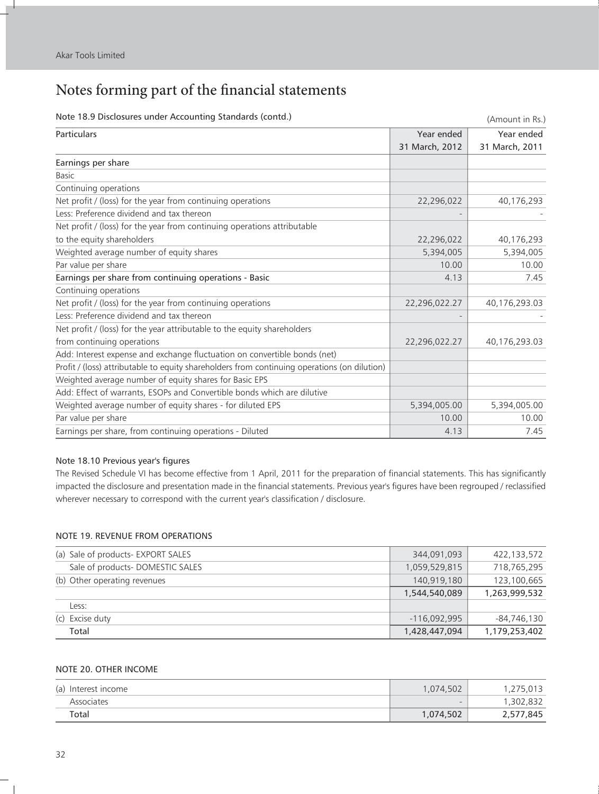Ì.

## Notes forming part of the financial statements

| wote 10.5 Disclosures under Accounting Standards (Contu.)                                    |                | (Amount in Rs.) |
|----------------------------------------------------------------------------------------------|----------------|-----------------|
| Particulars                                                                                  | Year ended     | Year ended      |
|                                                                                              | 31 March, 2012 | 31 March, 2011  |
| Earnings per share                                                                           |                |                 |
| <b>Basic</b>                                                                                 |                |                 |
| Continuing operations                                                                        |                |                 |
| Net profit / (loss) for the year from continuing operations                                  | 22,296,022     | 40,176,293      |
| Less: Preference dividend and tax thereon                                                    |                |                 |
| Net profit / (loss) for the year from continuing operations attributable                     |                |                 |
| to the equity shareholders                                                                   | 22,296,022     | 40,176,293      |
| Weighted average number of equity shares                                                     | 5,394,005      | 5,394,005       |
| Par value per share                                                                          | 10.00          | 10.00           |
| Earnings per share from continuing operations - Basic                                        | 4.13           | 7.45            |
| Continuing operations                                                                        |                |                 |
| Net profit / (loss) for the year from continuing operations                                  | 22,296,022.27  | 40,176,293.03   |
| Less: Preference dividend and tax thereon                                                    |                |                 |
| Net profit / (loss) for the year attributable to the equity shareholders                     |                |                 |
| from continuing operations                                                                   | 22,296,022.27  | 40,176,293.03   |
| Add: Interest expense and exchange fluctuation on convertible bonds (net)                    |                |                 |
| Profit / (loss) attributable to equity shareholders from continuing operations (on dilution) |                |                 |
| Weighted average number of equity shares for Basic EPS                                       |                |                 |
| Add: Effect of warrants, ESOPs and Convertible bonds which are dilutive                      |                |                 |
| Weighted average number of equity shares - for diluted EPS                                   | 5,394,005.00   | 5,394,005.00    |
| Par value per share                                                                          | 10.00          | 10.00           |
| Earnings per share, from continuing operations - Diluted                                     | 4.13           | 7.45            |

#### Note 18.0 Disclosures under Accounting Standards (contd.)

#### Note 18.10 Previous year's figures

The Revised Schedule VI has become effective from 1 April, 2011 for the preparation of financial statements. This has significantly impacted the disclosure and presentation made in the financial statements. Previous year's figures have been regrouped / reclassified wherever necessary to correspond with the current year's classification / disclosure.

#### NOTE 19. REVENUE FROM OPERATIONS

| (a) Sale of products- EXPORT SALES | 344,091,093    | 422,133,572   |
|------------------------------------|----------------|---------------|
| Sale of products-DOMESTIC SALES    | 1,059,529,815  | 718,765,295   |
| (b) Other operating revenues       | 140,919,180    | 123,100,665   |
|                                    | 1,544,540,089  | 1,263,999,532 |
| Less:                              |                |               |
| (c) Excise duty                    | $-116.092.995$ | -84,746,130   |
| Total                              | 1,428,447,094  | 1,179,253,402 |

#### NOTE 20. OTHER INCOME

| (a) Interest income | 1,074,502 | ,275,013  |
|---------------------|-----------|-----------|
| Associates          | -         | 1,302,832 |
| Total               | 1,074,502 | 2,577,845 |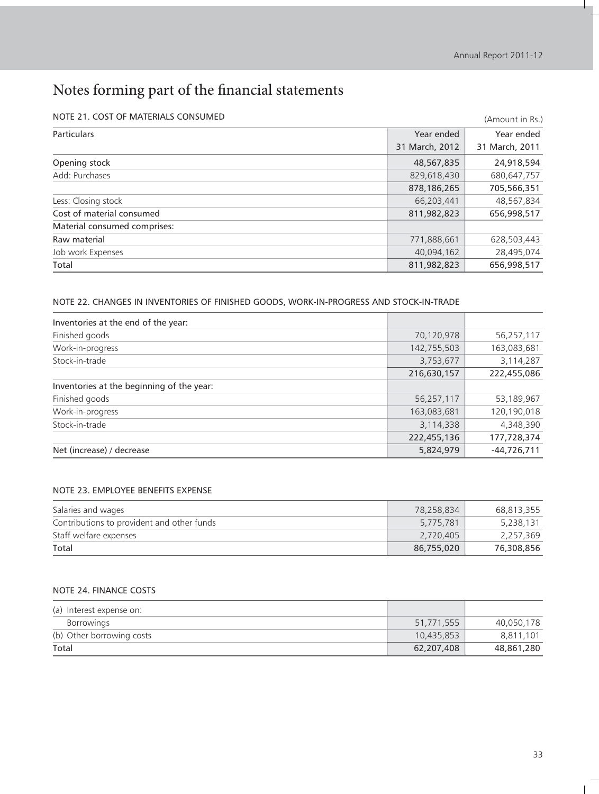#### NOTE 21. COST OF MATERIALS CONSUMED

| NOTE 21. COST OF MATERIALS CONSUMED |                | (Amount in Rs.) |
|-------------------------------------|----------------|-----------------|
| Particulars                         | Year ended     | Year ended      |
|                                     | 31 March, 2012 | 31 March, 2011  |
| Opening stock                       | 48,567,835     | 24,918,594      |
| Add: Purchases                      | 829,618,430    | 680,647,757     |
|                                     | 878,186,265    | 705,566,351     |
| Less: Closing stock                 | 66,203,441     | 48,567,834      |
| Cost of material consumed           | 811,982,823    | 656,998,517     |
| Material consumed comprises:        |                |                 |
| Raw material                        | 771,888,661    | 628,503,443     |
| Job work Expenses                   | 40,094,162     | 28,495,074      |
| Total                               | 811,982,823    | 656,998,517     |

#### NOTE 22. CHANGES IN INVENTORIES OF FINISHED GOODS, WORK-IN-PROGRESS AND STOCK-IN-TRADE

| Inventories at the end of the year:       |             |               |
|-------------------------------------------|-------------|---------------|
| Finished goods                            | 70,120,978  | 56,257,117    |
| Work-in-progress                          | 142,755,503 | 163,083,681   |
| Stock-in-trade                            | 3,753,677   | 3,114,287     |
|                                           | 216,630,157 | 222,455,086   |
| Inventories at the beginning of the year: |             |               |
| Finished goods                            | 56,257,117  | 53,189,967    |
| Work-in-progress                          | 163,083,681 | 120,190,018   |
| Stock-in-trade                            | 3,114,338   | 4,348,390     |
|                                           | 222,455,136 | 177,728,374   |
| Net (increase) / decrease                 | 5,824,979   | $-44,726,711$ |

#### NOTE 23. EMPLOYEE BENEFITS EXPENSE

| Salaries and wages                         | 78,258,834 | 68,813,355 |
|--------------------------------------------|------------|------------|
| Contributions to provident and other funds | 5,775,781  | 5,238,131  |
| Staff welfare expenses                     | 2,720,405  | 2,257,369  |
| Total                                      | 86,755,020 | 76,308,856 |

#### NOTE 24. FINANCE COSTS

| (a) Interest expense on:  |            |            |
|---------------------------|------------|------------|
| <b>Borrowings</b>         | 51,771,555 | 40,050,178 |
| (b) Other borrowing costs | 10,435,853 | 8,811,101  |
| Total                     | 62,207,408 | 48,861,280 |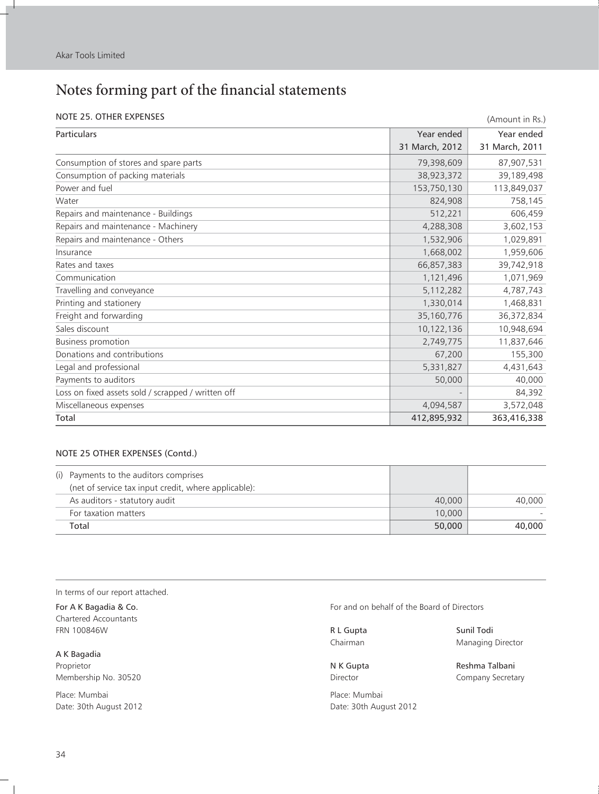f.

## Notes forming part of the financial statements

#### NOTE 25. OTHER EXPENSES

| NOTE 25. OTHER EXPENSES                            |                | (Amount in Rs.) |  |
|----------------------------------------------------|----------------|-----------------|--|
| Particulars                                        | Year ended     | Year ended      |  |
|                                                    | 31 March, 2012 | 31 March, 2011  |  |
| Consumption of stores and spare parts              | 79,398,609     | 87,907,531      |  |
| Consumption of packing materials                   | 38,923,372     | 39,189,498      |  |
| Power and fuel                                     | 153,750,130    | 113,849,037     |  |
| Water                                              | 824,908        | 758,145         |  |
| Repairs and maintenance - Buildings                | 512,221        | 606,459         |  |
| Repairs and maintenance - Machinery                | 4,288,308      | 3,602,153       |  |
| Repairs and maintenance - Others                   | 1,532,906      | 1,029,891       |  |
| Insurance                                          | 1,668,002      | 1,959,606       |  |
| Rates and taxes                                    | 66,857,383     | 39,742,918      |  |
| Communication                                      | 1,121,496      | 1,071,969       |  |
| Travelling and conveyance                          | 5,112,282      | 4,787,743       |  |
| Printing and stationery                            | 1,330,014      | 1,468,831       |  |
| Freight and forwarding                             | 35,160,776     | 36,372,834      |  |
| Sales discount                                     | 10,122,136     | 10,948,694      |  |
| <b>Business promotion</b>                          | 2,749,775      | 11,837,646      |  |
| Donations and contributions                        | 67,200         | 155,300         |  |
| Legal and professional                             | 5,331,827      | 4,431,643       |  |
| Payments to auditors                               | 50,000         | 40,000          |  |
| Loss on fixed assets sold / scrapped / written off |                | 84,392          |  |
| Miscellaneous expenses                             | 4,094,587      | 3,572,048       |  |
| Total                                              | 412,895,932    | 363,416,338     |  |

#### NOTE 25 OTHER EXPENSES (Contd.)

|       | (i) Payments to the auditors comprises               |        |        |
|-------|------------------------------------------------------|--------|--------|
|       | (net of service tax input credit, where applicable): |        |        |
|       | As auditors - statutory audit                        | 40,000 | 40,000 |
|       | For taxation matters                                 | 10,000 |        |
| Total |                                                      | 50,000 | 40,000 |

In terms of our report attached.

Chartered Accountants FRN 100846W **R L Gupta** Sunil Todi

A K Bagadia Proprietor **N K Gupta** Reshma Talbani Membership No. 30520 **Director** Director **Company Secretary** 

Place: Mumbai Place: Mumbai Place: Mumbai Date: 30th August 2012 **Date: 30th August 2012** 

For A K Bagadia & Co. **For and on behalf of the Board of Directors** For and on behalf of the Board of Directors

Chairman Managing Director

 $\blacksquare$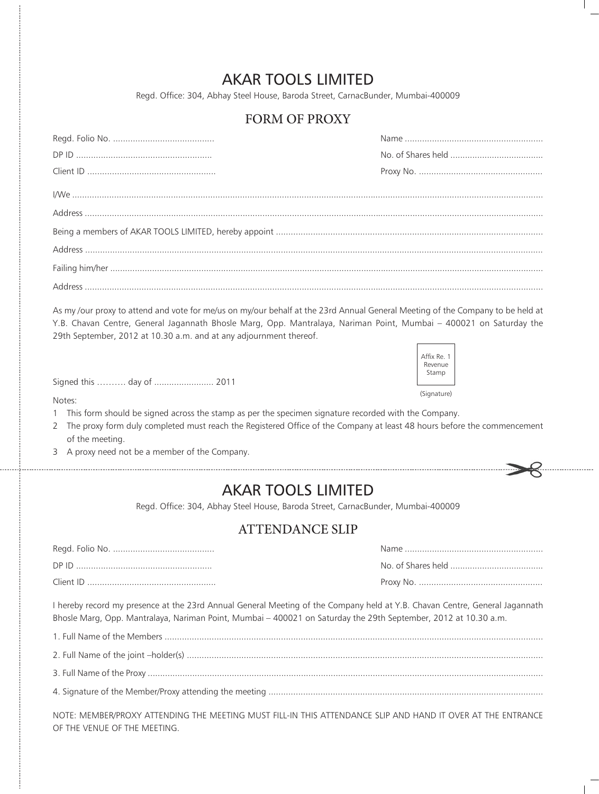## AKAR TOOLS LIMITED

Regd. Office: 304, Abhay Steel House, Baroda Street, CarnacBunder, Mumbai-400009

### FORM OF PROXY

As my /our proxy to attend and vote for me/us on my/our behalf at the 23rd Annual General Meeting of the Company to be held at Y.B. Chavan Centre, General Jagannath Bhosle Marg, Opp. Mantralaya, Nariman Point, Mumbai – 400021 on Saturday the 29th September, 2012 at 10.30 a.m. and at any adjournment thereof.



Signed this ………. day of ........................ 2011

Notes:

- 1 This form should be signed across the stamp as per the specimen signature recorded with the Company.
- 2 The proxy form duly completed must reach the Registered Office of the Company at least 48 hours before the commencement of the meeting.
- 3 A proxy need not be a member of the Company.



## AKAR TOOLS LIMITED

Regd. Office: 304, Abhay Steel House, Baroda Street, CarnacBunder, Mumbai-400009

### ATTENDANCE SLIP

| Client ID |  |
|-----------|--|

I hereby record my presence at the 23rd Annual General Meeting of the Company held at Y.B. Chavan Centre, General Jagannath Bhosle Marg, Opp. Mantralaya, Nariman Point, Mumbai – 400021 on Saturday the 29th September, 2012 at 10.30 a.m.

1. Full Name of the Members ......................................................................................................................................................... 2. Full Name of the joint –holder(s) ................................................................................................................................................ 3. Full Name of the Proxy ................................................................................................................................................................ 4. Signature of the Member/Proxy attending the meeting ...............................................................................................................

NOTE: MEMBER/PROXY ATTENDING THE MEETING MUST FILL-IN THIS ATTENDANCE SLIP AND HAND IT OVER AT THE ENTRANCE OF THE VENUE OF THE MEETING.